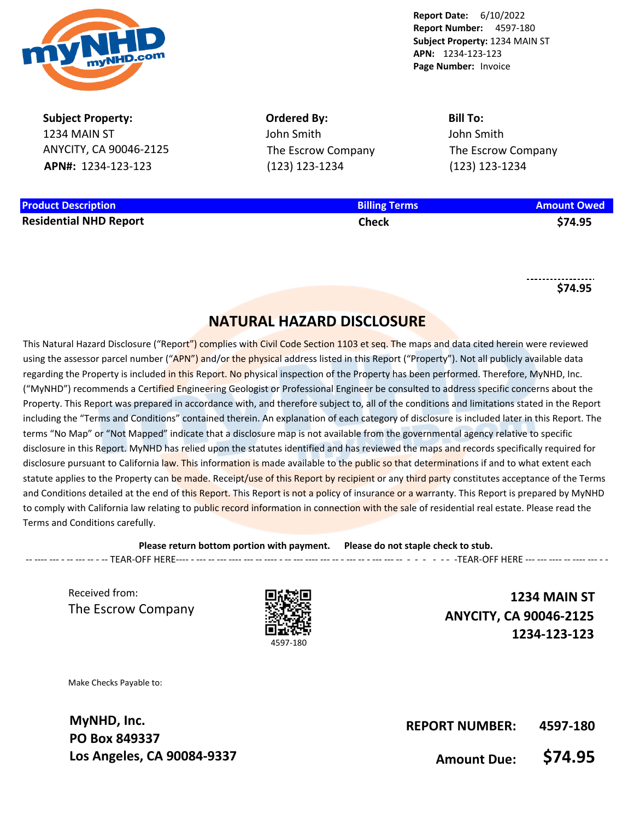

**Report Number:** 4597-180 **Subject Property:** 1234 MAIN ST **APN:** 1234-123-123 **Page Number:** Invoice

**Report Date:** 6/10/2022

**Subject Property:** 1234 MAIN ST ANYCITY, CA 90046-2125 **APN#:** 1234-123-123

**Ordered By:** John Smith The Escrow Company (123) 123-1234

**Bill To:** John Smith The Escrow Company (123) 123-1234

**Product Description Billing Terms Amount Owed Residential NHD Report Check \$74.95**

**\$74.95**

## **NATURAL HAZARD DISCLOSURE**

This Natural Hazard Disclosure ("Report") complies with Civil Code Section 1103 et seg. The maps and data cited herein were reviewed using the assessor parcel number ("APN") and/or the physical address listed in this Report ("Property"). Not all publicly available data regarding the Property is included in this Report. No physical inspection of the Property has been performed. Therefore, MyNHD, Inc. ("MyNHD") recommends a Certified Engineering Geologist or Professional Engineer be consulted to address specific concerns about the Property. This Report was prepared in accordance with, and therefore subject to, all of the conditions and limitations stated in the Report including the "Terms and Conditions" contained therein. An explanation of each category of disclosure is included later in this Report. The terms "No Map" or "Not Mapped" indicate that a disclosure map is not available from the governmental agency relative to specific disclosure in this Report. MyNHD has relied upon the statutes identified and has reviewed the maps and records specifically required for disclosure pursuant to California law. This information is made available to the public so that determinations if and to what extent each statute applies to the Property can be made. Receipt/use of this Report by recipient or any third party constitutes acceptance of the Terms and Conditions detailed at the end of this Report. This Report is not a policy of insurance or a warranty. This Report is prepared by MyNHD to comply with California law relating to public record information in connection with the sale of residential real estate. Please read the Terms and Conditions carefully.

**Please return bottom portion with payment. Please do not staple check to stub.**  -- ---- --- - -- --- -- - -- TEAR-OFF HERE---- - --- -- --- ---- --- -- ---- - -- --- ---- --- -- - --- -- - --- --- -- - - - - - - -TEAR-OFF HERE --- --- ---- -- ---- --- - -

Received from: The Escrow Company



**1234 MAIN ST ANYCITY, CA 90046-2125 1234-123-123**

Make Checks Payable to:

**MyNHD, Inc. PO Box 849337 Los Angeles, CA 90084-9337**

**REPORT NUMBER: 4597-180**

**Amount Due: \$74.95**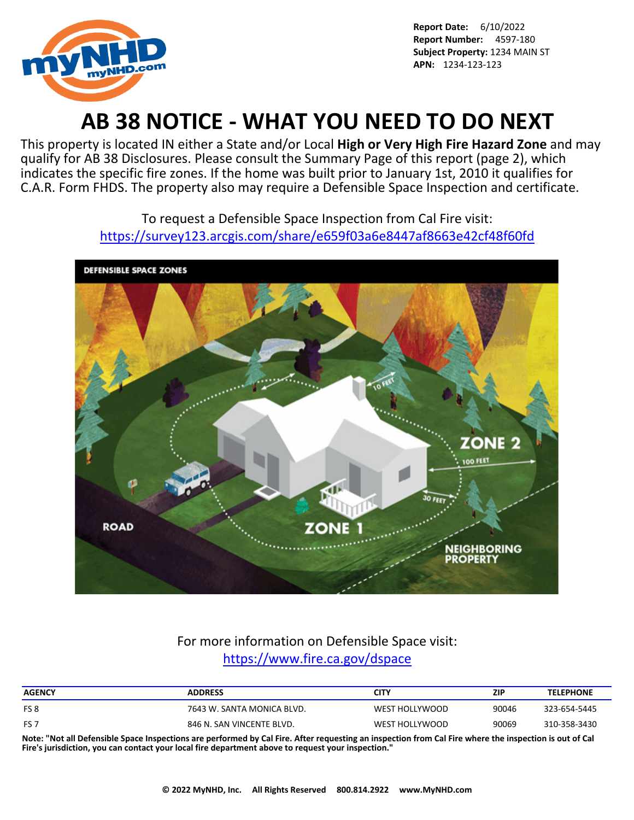

# **AB 38 NOTICE - WHAT YOU NEED TO DO NEXT**

This property is located IN either a State and/or Local **High or Very High Fire Hazard Zone** and may qualify for AB 38 Disclosures. Please consult the Summary Page of this report (page 2), which indicates the specific fire zones. If the home was built prior to January 1st, 2010 it qualifies for C.A.R. Form FHDS. The property also may require a Defensible Space Inspection and certificate.

> To request a Defensible Space Inspection from Cal Fire visit: <https://survey123.arcgis.com/share/e659f03a6e8447af8663e42cf48f60fd>



## For more information on Defensible Space visit: <https://www.fire.ca.gov/dspace>

| <b>ADDRESS</b>             | CITY           | ZIP   | <b>TELEPHONE</b> |
|----------------------------|----------------|-------|------------------|
| 7643 W. SANTA MONICA BLVD. | WEST HOLLYWOOD | 90046 | 323-654-5445     |
| 846 N. SAN VINCENTE BLVD.  | WEST HOLLYWOOD | 90069 | 310-358-3430     |
|                            |                |       |                  |

**Note: "Not all Defensible Space Inspections are performed by Cal Fire. After requesting an inspection from Cal Fire where the inspection is out of Cal Fire's jurisdiction, you can contact your local fire department above to request your inspection."**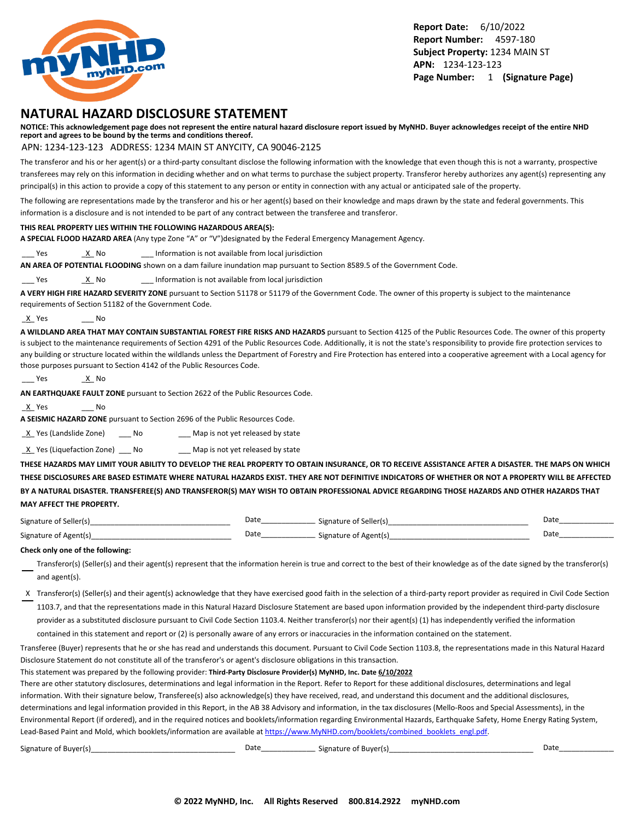

### **NATURAL HAZARD DISCLOSURE STATEMENT**

**NOTICE: This acknowledgement page does not represent the entire natural hazard disclosure report issued by MyNHD. Buyer acknowledges receipt of the entire NHD report and agrees to be bound by the terms and conditions thereof.**

#### APN: 1234-123-123 ADDRESS: 1234 MAIN ST ANYCITY, CA 90046-2125

The transferor and his or her agent(s) or a third-party consultant disclose the following information with the knowledge that even though this is not a warranty, prospective transferees may rely on this information in deciding whether and on what terms to purchase the subject property. Transferor hereby authorizes any agent(s) representing any principal(s) in this action to provide a copy of this statement to any person or entity in connection with any actual or anticipated sale of the property.

The following are representations made by the transferor and his or her agent(s) based on their knowledge and maps drawn by the state and federal governments. This information is a disclosure and is not intended to be part of any contract between the transferee and transferor.

#### **THIS REAL PROPERTY LIES WITHIN THE FOLLOWING HAZARDOUS AREA(S):**

**A SPECIAL FLOOD HAZARD AREA** (Any type Zone "A" or "V")designated by the Federal Emergency Management Agency.

Yes X No 2011 Information is not available from local jurisdiction

**AN AREA OF POTENTIAL FLOODING** shown on a dam failure inundation map pursuant to Section 8589.5 of the Government Code.

Yes X No 2011 Information is not available from local jurisdiction

**A VERY HIGH FIRE HAZARD SEVERITY ZONE** pursuant to Section 51178 or 51179 of the Government Code. The owner of this property is subject to the maintenance requirements of Section 51182 of the Government Code.

\_X\_ Yes \_\_\_ No

**A WILDLAND AREA THAT MAY CONTAIN SUBSTANTIAL FOREST FIRE RISKS AND HAZARDS** pursuant to Section 4125 of the Public Resources Code. The owner of this property is subject to the maintenance requirements of Section 4291 of the Public Resources Code. Additionally, it is not the state's responsibility to provide fire protection services to any building or structure located within the wildlands unless the Department of Forestry and Fire Protection has entered into a cooperative agreement with a Local agency for those purposes pursuant to Section 4142 of the Public Resources Code.

```
___ Yes ______<u>_X</u>__ No
```
**AN EARTHQUAKE FAULT ZONE** pursuant to Section 2622 of the Public Resources Code.

\_X\_ Yes \_\_\_ No

**A SEISMIC HAZARD ZONE** pursuant to Section 2696 of the Public Resources Code.

X Yes (Landslide Zone) \_\_\_ No \_\_\_\_ Map is not yet released by state

 $\underline{X}$  Yes (Liquefaction Zone) \_\_\_ No \_\_\_\_ Map is not yet released by state

**THESE HAZARDS MAY LIMIT YOUR ABILITY TO DEVELOP THE REAL PROPERTY TO OBTAIN INSURANCE, OR TO RECEIVE ASSISTANCE AFTER A DISASTER. THE MAPS ON WHICH THESE DISCLOSURES ARE BASED ESTIMATE WHERE NATURAL HAZARDS EXIST. THEY ARE NOT DEFINITIVE INDICATORS OF WHETHER OR NOT A PROPERTY WILL BE AFFECTED BY A NATURAL DISASTER. TRANSFEREE(S) AND TRANSFEROR(S) MAY WISH TO OBTAIN PROFESSIONAL ADVICE REGARDING THOSE HAZARDS AND OTHER HAZARDS THAT MAY AFFECT THE PROPERTY.**

| Signature of Seller(s) | Date | Signature of Seller(s) | Date |
|------------------------|------|------------------------|------|
| Signature of Agent(s)  | Date | Signature of Agent(s)  | Date |

#### **Check only one of the following:**

- Transferor(s) (Seller(s) and their agent(s) represent that the information herein is true and correct to the best of their knowledge as of the date signed by the transferor(s) and agent(s).
- X Transferor(s) (Seller(s) and their agent(s) acknowledge that they have exercised good faith in the selection of a third-party report provider as required in Civil Code Section 1103.7, and that the representations made in this Natural Hazard Disclosure Statement are based upon information provided by the independent third-party disclosure provider as a substituted disclosure pursuant to Civil Code Section 1103.4. Neither transferor(s) nor their agent(s) (1) has independently verified the information

contained in this statement and report or (2) is personally aware of any errors or inaccuracies in the information contained on the statement.

Transferee (Buyer) represents that he or she has read and understands this document. Pursuant to Civil Code Section 1103.8, the representations made in this Natural Hazard Disclosure Statement do not constitute all of the transferor's or agent's disclosure obligations in this transaction.

This statement was prepared by the following provider: **Third-Party Disclosure Provider(s) MyNHD, Inc. Date 6/10/2022**

There are other statutory disclosures, determinations and legal information in the Report. Refer to Report for these additional disclosures, determinations and legal information. With their signature below, Transferee(s) also acknowledge(s) they have received, read, and understand this document and the additional disclosures, determinations and legal information provided in this Report, in the AB 38 Advisory and information, in the tax disclosures (Mello-Roos and Special Assessments), in the Environmental Report (if ordered), and in the required notices and booklets/information regarding Environmental Hazards, Earthquake Safety, Home Energy Rating System, Lead-Based Paint and Mold, which booklets/information are available at [https://www.MyNHD.com/booklets/combined\\_booklets\\_engl.pdf.](https://www.MyNHD.com/booklets/combined_booklets_engl.pdf)

| $\sim$ $\sim$<br>Signature<br>nt Ruveris<br><b>BUVELLS</b><br>$\cdot$ | Date | Signature of Buver(s) | Dati |
|-----------------------------------------------------------------------|------|-----------------------|------|
|-----------------------------------------------------------------------|------|-----------------------|------|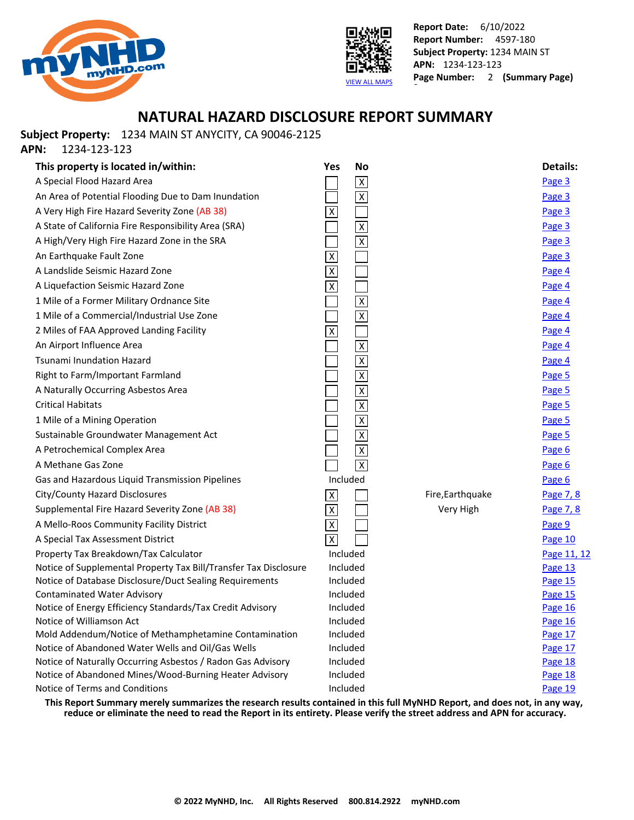



### **NATURAL HAZARD DISCLOSURE REPORT SUMMARY**

**Subject Property:** 1234 MAIN ST ANYCITY, CA 90046-2125

**APN:** 1234-123-123

| This property is located in/within:                                                                        | Yes                       | <b>No</b>               |                  | <b>Details:</b>    |
|------------------------------------------------------------------------------------------------------------|---------------------------|-------------------------|------------------|--------------------|
| A Special Flood Hazard Area                                                                                |                           | $\mathsf X$             |                  | Page 3             |
| An Area of Potential Flooding Due to Dam Inundation                                                        |                           | $\overline{X}$          |                  | Page 3             |
| A Very High Fire Hazard Severity Zone (AB 38)                                                              | $\overline{X}$            |                         |                  | Page 3             |
| A State of California Fire Responsibility Area (SRA)                                                       |                           | $\overline{\mathsf{x}}$ |                  | Page 3             |
| A High/Very High Fire Hazard Zone in the SRA                                                               |                           | $\overline{\mathbf{x}}$ |                  | Page 3             |
| An Earthquake Fault Zone                                                                                   | $\pmb{\chi}$              |                         |                  | Page 3             |
| A Landslide Seismic Hazard Zone                                                                            | $\overline{\overline{x}}$ |                         |                  | Page 4             |
| A Liquefaction Seismic Hazard Zone                                                                         | $\overline{\mathsf{x}}$   |                         |                  | Page 4             |
| 1 Mile of a Former Military Ordnance Site                                                                  |                           | $\overline{\mathbf{X}}$ |                  | Page 4             |
| 1 Mile of a Commercial/Industrial Use Zone                                                                 |                           | $\overline{\mathsf{x}}$ |                  | Page 4             |
| 2 Miles of FAA Approved Landing Facility                                                                   | $\overline{\mathsf{x}}$   |                         |                  | Page 4             |
| An Airport Influence Area                                                                                  |                           | $\overline{\mathsf{x}}$ |                  | Page 4             |
| <b>Tsunami Inundation Hazard</b>                                                                           |                           | $\overline{\mathsf{x}}$ |                  | Page 4             |
| Right to Farm/Important Farmland                                                                           |                           | $\overline{\mathsf{X}}$ |                  | Page 5             |
| A Naturally Occurring Asbestos Area                                                                        |                           | $\overline{\mathsf{x}}$ |                  | Page 5             |
| <b>Critical Habitats</b>                                                                                   |                           | $\overline{\mathsf{x}}$ |                  | Page 5             |
| 1 Mile of a Mining Operation                                                                               |                           | $\overline{\mathsf{x}}$ |                  | Page 5             |
| Sustainable Groundwater Management Act                                                                     |                           | $\overline{\mathsf{x}}$ |                  | Page 5             |
| A Petrochemical Complex Area                                                                               |                           | $\pmb{\chi}$            |                  | Page 6             |
| A Methane Gas Zone                                                                                         |                           | $\overline{\mathsf{x}}$ |                  | Page 6             |
| Gas and Hazardous Liquid Transmission Pipelines                                                            | Included                  |                         |                  | Page 6             |
| City/County Hazard Disclosures                                                                             | $\overline{\mathsf{x}}$   |                         | Fire, Earthquake | Page 7, 8          |
| Supplemental Fire Hazard Severity Zone (AB 38)                                                             | $\pmb{\times}$            |                         | Very High        | Page 7, 8          |
| A Mello-Roos Community Facility District                                                                   | $\pmb{\times}$            |                         |                  | Page 9             |
| A Special Tax Assessment District                                                                          | $\overline{X}$            |                         |                  | Page 10            |
| Property Tax Breakdown/Tax Calculator                                                                      | Included                  |                         |                  | Page 11, 12        |
| Notice of Supplemental Property Tax Bill/Transfer Tax Disclosure                                           | Included                  |                         |                  | Page 13            |
| Notice of Database Disclosure/Duct Sealing Requirements                                                    | Included                  |                         |                  | <b>Page 15</b>     |
| <b>Contaminated Water Advisory</b>                                                                         |                           | Included                |                  | Page 15            |
| Notice of Energy Efficiency Standards/Tax Credit Advisory                                                  |                           | Included                |                  | Page 16            |
| Notice of Williamson Act                                                                                   | Included                  |                         |                  | Page 16            |
| Mold Addendum/Notice of Methamphetamine Contamination<br>Notice of Abandoned Water Wells and Oil/Gas Wells | Included                  | Included                |                  | Page 17            |
| Notice of Naturally Occurring Asbestos / Radon Gas Advisory                                                |                           | Included                |                  | Page 17<br>Page 18 |
| Notice of Abandoned Mines/Wood-Burning Heater Advisory                                                     | Included                  |                         |                  | Page 18            |
| Notice of Terms and Conditions                                                                             | Included                  |                         |                  | Page 19            |
|                                                                                                            |                           |                         |                  |                    |

**This Report Summary merely summarizes the research results contained in this full MyNHD Report, and does not, in any way, reduce or eliminate the need to read the Report in its entirety. Please verify the street address and APN for accuracy.**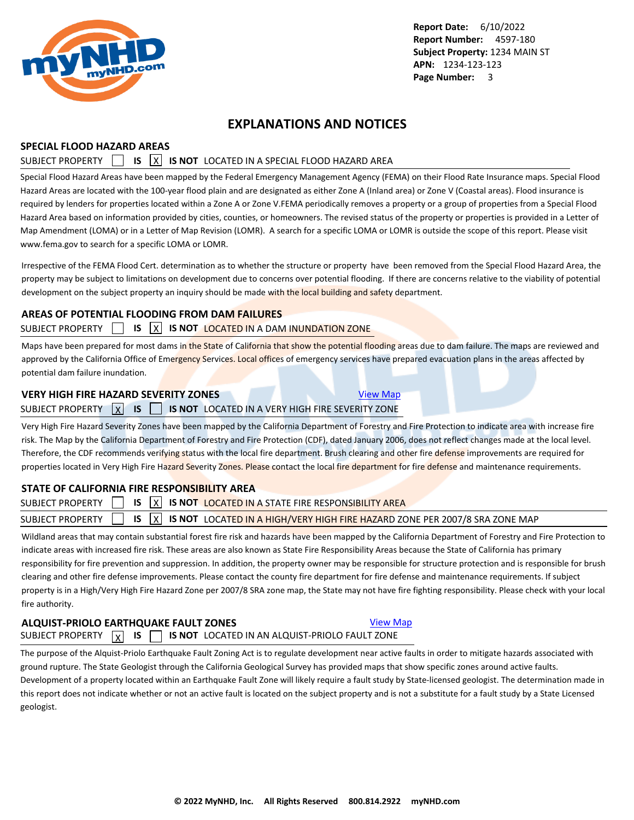<span id="page-4-0"></span>

### **EXPLANATIONS AND NOTICES**

#### **SPECIAL FLOOD HAZARD AREAS**

#### SUBJECT PROPERTY **15 X IS NOT** LOCATED IN A SPECIAL FLOOD HAZARD AREA

Special Flood Hazard Areas have been mapped by the Federal Emergency Management Agency (FEMA) on their Flood Rate Insurance maps. Special Flood Hazard Areas are located with the 100-year flood plain and are designated as either Zone A (Inland area) or Zone V (Coastal areas). Flood insurance is required by lenders for properties located within a Zone A or Zone V.FEMA periodically removes a property or a group of properties from a Special Flood Hazard Area based on information provided by cities, counties, or homeowners. The revised status of the property or properties is provided in a Letter of Map Amendment (LOMA) or in a Letter of Map Revision (LOMR). A search for a specific LOMA or LOMR is outside the scope of this report. Please visit www.fema.gov to search for a specific LOMA or LOMR.

Irrespective of the FEMA Flood Cert. determination as to whether the structure or property have been removed from the Special Flood Hazard Area, the property may be subject to limitations on development due to concerns over potential flooding. If there are concerns relative to the viability of potential development on the subject property an inquiry should be made with the local building and safety department.

#### **AREAS OF POTENTIAL FLOODING FROM DAM FAILURES**

#### SUBJECT PROPERTY **IS X IS NOT LOCATED IN A DAM INUNDATION ZONE**

Maps have been prepared for most dams in the State of California that show the potential flooding areas due to dam failure. The maps are reviewed and approved by the California Office of Emergency Services. Local offices of emergency services have prepared evacuation plans in the areas affected by potential dam failure inundation.

#### **VERY HIGH FIRE HAZARD SEVERITY ZONES** [View Map](https://www.mynhd.com/hazardmaps/1846040/844299)

### SUBJECT PROPERTY X **IS IS 15 NOT** LOCATED IN A VERY HIGH FIRE SEVERITY ZONE

Very High Fire Hazard Severity Zones have been mapped by the California Department of Forestry and Fire Protection to indicate area with increase fire risk. The Map by the California Department of Forestry and Fire Protection (CDF), dated January 2006, does not reflect changes made at the local level. Therefore, the CDF recommends verifying status with the local fire department. Brush clearing and other fire defense improvements are required for properties located in Very High Fire Hazard Severity Zones. Please contact the local fire department for fire defense and maintenance requirements.

#### **STATE OF CALIFORNIA FIRE RESPONSIBILITY AREA**

|  | SUBJECT PROPERTY $\begin{bmatrix} 1 & 1 \end{bmatrix}$ is $\begin{bmatrix} x \\ y \end{bmatrix}$ is not located in a state fire responsibility area |  |
|--|-----------------------------------------------------------------------------------------------------------------------------------------------------|--|
|  | SUBJECT PROPERTY $\Box$ IS $\boxed{\chi}$ IS NOT LOCATED IN A HIGH/VERY HIGH FIRE HAZARD ZONE PER 2007/8 SRA ZONE MAP                               |  |
|  |                                                                                                                                                     |  |

Wildland areas that may contain substantial forest fire risk and hazards have been mapped by the California Department of Forestry and Fire Protection to indicate areas with increased fire risk. These areas are also known as State Fire Responsibility Areas because the State of California has primary responsibility for fire prevention and suppression. In addition, the property owner may be responsible for structure protection and is responsible for brush clearing and other fire defense improvements. Please contact the county fire department for fire defense and maintenance requirements. If subject property is in a High/Very High Fire Hazard Zone per 2007/8 SRA zone map, the State may not have fire fighting responsibility. Please check with your local fire authority.

### **ALQUIST-PRIOLO EARTHQUAKE FAULT ZONES [View Map](https://www.mynhd.com/hazardmaps/1846041/844299)**

SUBJECT PROPERTY  $\boxed{\chi}$  **IS**  $\boxed{\phantom{0}}$  **IS NOT** LOCATED IN AN ALQUIST-PRIOLO FAULT ZONE

The purpose of the Alquist-Priolo Earthquake Fault Zoning Act is to regulate development near active faults in order to mitigate hazards associated with ground rupture. The State Geologist through the California Geological Survey has provided maps that show specific zones around active faults. Development of a property located within an Earthquake Fault Zone will likely require a fault study by State-licensed geologist. The determination made in this report does not indicate whether or not an active fault is located on the subject property and is not a substitute for a fault study by a State Licensed geologist.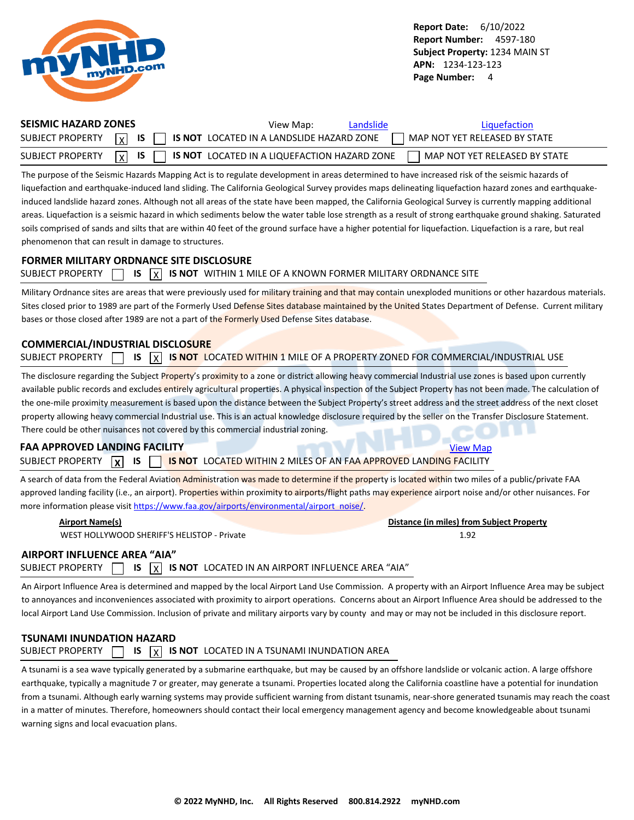<span id="page-5-0"></span>

| <b>SEISMIC HAZARD ZONES</b> | View Map:<br>Landslide                                                               | Liquefaction                    |
|-----------------------------|--------------------------------------------------------------------------------------|---------------------------------|
|                             | SUBJECT PROPERTY $\boxed{x}$ is $\boxed{ }$ is not located in a land sum HAZARD ZONE | MAP NOT YET RELEASED BY STATE   |
| SUBJECT PROPERTY            | $\vert x \vert$ IS $\vert$ IS NOT LOCATED IN A LIQUEFACTION HAZARD ZONE              | L MAP NOT YET RELEASED BY STATE |

The purpose of the Seismic Hazards Mapping Act is to regulate development in areas determined to have increased risk of the seismic hazards of liquefaction and earthquake-induced land sliding. The California Geological Survey provides maps delineating liquefaction hazard zones and earthquakeinduced landslide hazard zones. Although not all areas of the state have been mapped, the California Geological Survey is currently mapping additional areas. Liquefaction is a seismic hazard in which sediments below the water table lose strength as a result of strong earthquake ground shaking. Saturated soils comprised of sands and silts that are within 40 feet of the ground surface have a higher potential for liquefaction. Liquefaction is a rare, but real phenomenon that can result in damage to structures.

#### **FORMER MILITARY ORDNANCE SITE DISCLOSURE**

|  |  |  |  |  | SUBJECT PROPERTY $\Box$ IS $\overline{X}$ IS NOT WITHIN 1 MILE OF A KNOWN FORMER MILITARY ORDNANCE SITE |
|--|--|--|--|--|---------------------------------------------------------------------------------------------------------|
|--|--|--|--|--|---------------------------------------------------------------------------------------------------------|

Military Ordnance sites are areas that were previously used for military training and that may contain unexploded munitions or other hazardous materials. Sites closed prior to 1989 are part of the Formerly Used Defense Sites database maintained by the United States Department of Defense. Current military bases or those closed after 1989 are not a part of the Formerly Used Defense Sites database.

#### **COMMERCIAL/INDUSTRIAL DISCLOSURE**

| <b>SUBJECT PROPERTY</b> |  |  |  |  | IS $\overline{X}$ IS NOT LOCATED WITHIN 1 MILE OF A PROPERTY ZONED FOR COMMERCIAL/INDUSTRIAL USE |  |  |  |  |  |  |  |  |  |  |
|-------------------------|--|--|--|--|--------------------------------------------------------------------------------------------------|--|--|--|--|--|--|--|--|--|--|
|-------------------------|--|--|--|--|--------------------------------------------------------------------------------------------------|--|--|--|--|--|--|--|--|--|--|

The disclosure regarding the Subject Property's proximity to a zone or district allowing heavy commercial Industrial use zones is based upon currently available public records and excludes entirely agricultural properties. A physical inspection of the Subject Property has not been made. The calculation of the one-mile proximity measurement is based upon the distance between the Subject Property's street address and the street address of the next closet property allowing heavy commercial Industrial use. This is an actual knowledge disclosure required by the seller on the Transfer Disclosure Statement. There could be other nuisances not covered by this commercial industrial zoning.

### **FAA APPROVED LANDING FACILITY [View Map](https://www.mynhd.com/hazardmaps/1846046/844299)** View Map

SUBJECT PROPERTY **X IS IS IS** NOT LOCATED WITHIN 2 MILES OF AN FAA APPROVED LANDING FACILITY

A search of data from the Federal Aviation Administration was made to determine if the property is located within two miles of a public/private FAA approved landing facility (i.e., an airport). Properties within proximity to airports/flight paths may experience airport noise and/or other nuisances. For more information please visit [https://www.faa.gov/airports/environmental/airport\\_noise/](https://www.faa.gov/airports/environmental/airport_noise/).

| <b>Airport Name(s)</b>                      | Distance (in miles) from Subject Property |
|---------------------------------------------|-------------------------------------------|
| WEST HOLLYWOOD SHERIFF'S HELISTOP - Private | 1.92                                      |
| IRDORT INELLIENCE AREA "AIA"                |                                           |

### **AIRPORT**

SUBJECT PROPERTY  $\Box$  **IS**  $\overline{X}$  **IS NOT** LOCATED IN AN AIRPORT INFLUENCE AREA "AIA"

An Airport Influence Area is determined and mapped by the local Airport Land Use Commission. A property with an Airport Influence Area may be subject to annoyances and inconveniences associated with proximity to airport operations. Concerns about an Airport Influence Area should be addressed to the local Airport Land Use Commission. Inclusion of private and military airports vary by county and may or may not be included in this disclosure report.

### **TSUNAMI INUNDATION HAZARD** SUBJECT PROPERTY  $\Box$  **IS**  $\overline{X}$  **IS NOT** LOCATED IN A TSUNAMI INUNDATION AREA

A tsunami is a sea wave typically generated by a submarine earthquake, but may be caused by an offshore landslide or volcanic action. A large offshore earthquake, typically a magnitude 7 or greater, may generate a tsunami. Properties located along the California coastline have a potential for inundation from a tsunami. Although early warning systems may provide sufficient warning from distant tsunamis, near-shore generated tsunamis may reach the coast in a matter of minutes. Therefore, homeowners should contact their local emergency management agency and become knowledgeable about tsunami warning signs and local evacuation plans.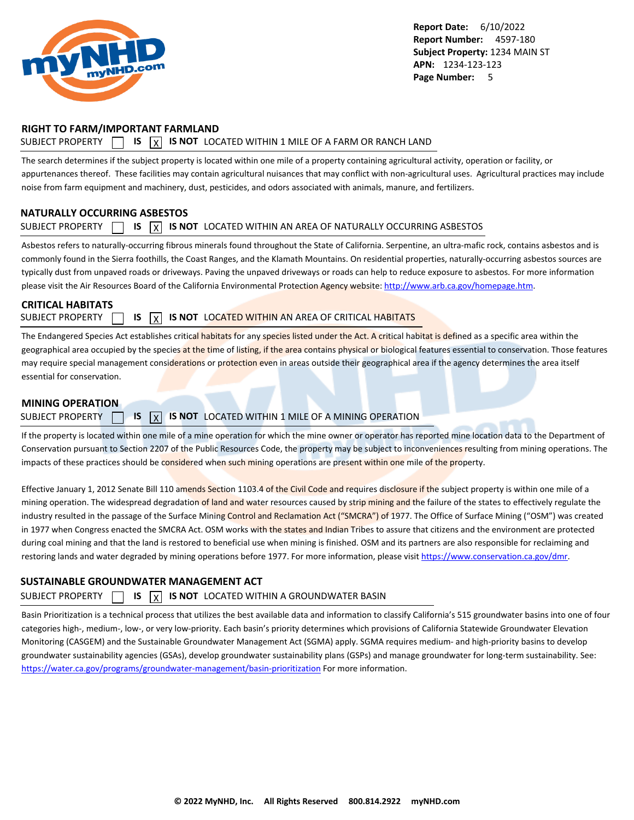<span id="page-6-0"></span>

#### **RIGHT TO FARM/IMPORTANT FARMLAND**

### SUBJECT PROPERTY  $\Box$  **IS**  $\overline{X}$  **IS NOT** LOCATED WITHIN 1 MILE OF A FARM OR RANCH LAND

The search determines if the subject property is located within one mile of a property containing agricultural activity, operation or facility, or appurtenances thereof. These facilities may contain agricultural nuisances that may conflict with non-agricultural uses. Agricultural practices may include noise from farm equipment and machinery, dust, pesticides, and odors associated with animals, manure, and fertilizers.

### **NATURALLY OCCURRING ASBESTOS**

#### SUBJECT PROPERTY  $\Box$  **IS**  $\overline{X}$  **IS NOT** LOCATED WITHIN AN AREA OF NATURALLY OCCURRING ASBESTOS

Asbestos refers to naturally-occurring fibrous minerals found throughout the State of California. Serpentine, an ultra-mafic rock, contains asbestos and is commonly found in the Sierra foothills, the Coast Ranges, and the Klamath Mountains. On residential properties, naturally-occurring asbestos sources are typically dust from unpaved roads or driveways. Paving the unpaved driveways or roads can help to reduce exposure to asbestos. For more information please visit the Air Resources Board of the California Environmental Protection Agency website:<http://www.arb.ca.gov/homepage.htm>.

### **CRITICAL HABITATS**

SUBJECT PROPERTY **15 IS X IS NOT** LOCATED WITHIN AN AREA OF CRITICAL HABITATS

The Endangered Species Act establishes critical habitats for any species listed under the Act. A critical habitat is defined as a specific area within the geographical area occupied by the species at the time of listing, if the area contains physical or biological features essential to conservation. Those features may require special management considerations or protection even in areas outside their geographical area if the agency determines the area itself essential for conservation.

#### **MINING OPERATION**

#### SUBJECT PROPERTY **15 X IS NOT** LOCATED WITHIN 1 MILE OF A MINING OPERATION

If the property is located within one mile of a mine operation for which the mine owner or operator has reported mine location data to the Department of Conservation pursuant to Section 2207 of the Public Resources Code, the property may be subject to inconveniences resulting from mining operations. The impacts of these practices should be considered when such mining operations are present within one mile of the property.

Effective January 1, 2012 Senate Bill 110 amends Section 1103.4 of the Civil Code and requires disclosure if the subject property is within one mile of a mining operation. The widespread degradation of land and water resources caused by strip mining and the failure of the states to effectively regulate the industry resulted in the passage of the Surface Mining Control and Reclamation Act ("SMCRA") of 1977. The Office of Surface Mining ("OSM") was created in 1977 when Congress enacted the SMCRA Act. OSM works with the states and Indian Tribes to assure that citizens and the environment are protected during coal mining and that the land is restored to beneficial use when mining is finished. OSM and its partners are also responsible for reclaiming and restoring lands and water degraded by mining operations before 1977. For more information, please visit<https://www.conservation.ca.gov/dmr>.

### **SUSTAINABLE GROUNDWATER MANAGEMENT ACT**

### SUBJECT PROPERTY  $\Box$  **IS**  $\overline{X}$  **IS NOT** LOCATED WITHIN A GROUNDWATER BASIN

Basin Prioritization is a technical process that utilizes the best available data and information to classify California's 515 groundwater basins into one of four categories high-, medium-, low-, or very low-priority. Each basin's priority determines which provisions of California Statewide Groundwater Elevation Monitoring (CASGEM) and the Sustainable Groundwater Management Act (SGMA) apply. SGMA requires medium- and high-priority basins to develop groundwater sustainability agencies (GSAs), develop groundwater sustainability plans (GSPs) and manage groundwater for long-term sustainability. See: <https://water.ca.gov/programs/groundwater-management/basin-prioritization>For more information.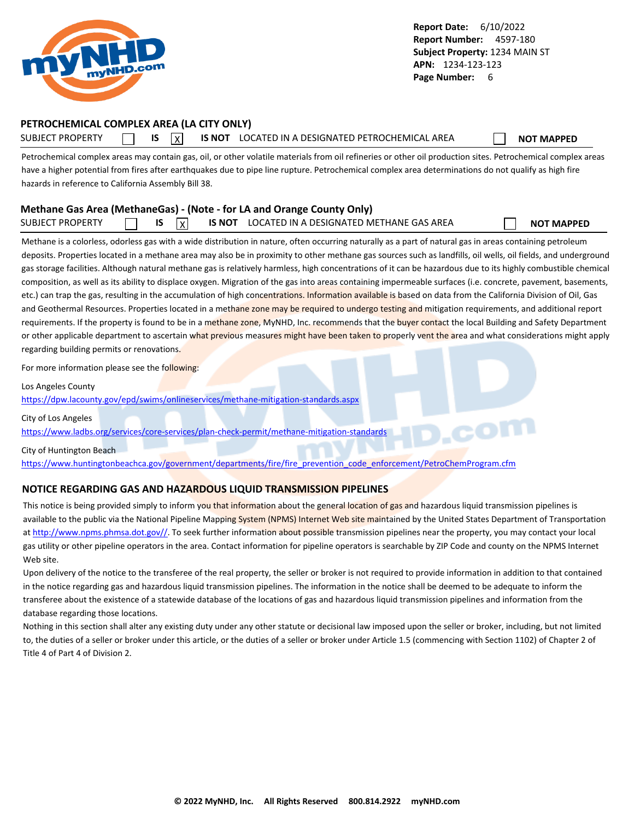<span id="page-7-0"></span>

### **PETROCHEMICAL COMPLEX AREA (LA CITY ONLY)**

SUBJECT PROPERTY **IS** IS **INOT LOCATED IN A DESIGNATED PETROCHEMICAL AREA NOT MAPPED** 

Petrochemical complex areas may contain gas, oil, or other volatile materials from oil refineries or other oil production sites. Petrochemical complex areas have a higher potential from fires after earthquakes due to pipe line rupture. Petrochemical complex area determinations do not qualify as high fire hazards in reference to California Assembly Bill 38.

### **Methane Gas Area (MethaneGas) - (Note - for LA and Orange County Only)** SUBJECT PROPERTY **IS** IS X IS NOT LOCATED IN A DESIGNATED METHANE GAS AREA **NOT MAPPED**

Methane is a colorless, odorless gas with a wide distribution in nature, often occurring naturally as a part of natural gas in areas containing petroleum deposits. Properties located in a methane area may also be in proximity to other methane gas sources such as landfills, oil wells, oil fields, and underground gas storage facilities. Although natural methane gas is relatively harmless, high concentrations of it can be hazardous due to its highly combustible chemical composition, as well as its ability to displace oxygen. Migration of the gas into areas containing impermeable surfaces (i.e. concrete, pavement, basements, etc.) can trap the gas, resulting in the accumulation of high concentrations. Information available is based on data from the California Division of Oil, Gas and Geothermal Resources. Properties located in a methane zone may be required to undergo testing and mitigation requirements, and additional report requirements. If the property is found to be in a methane zone, MyNHD, Inc. recommends that the buyer contact the local Building and Safety Department or other applicable department to ascertain what previous measures might have been taken to properly vent the area and what considerations might apply regarding building permits or renovations.

For more information please see the following:

Los Angeles County

<https://dpw.lacounty.gov/epd/swims/onlineservices/methane-mitigation-standards.aspx>

City of Los Angeles

<https://www.ladbs.org/services/core-services/plan-check-permit/methane-mitigation-standards>

City of Huntington Beach

[https://www.huntingtonbeachca.gov/government/departments/fire/fire\\_prevention\\_code\\_enforcement/PetroChemProgram.cfm](https://www.huntingtonbeachca.gov/government/departments/fire/fire_prevention_code_enforcement/PetroChemProgram.cfm)

#### **NOTICE REGARDING GAS AND HAZARDOUS LIQUID TRANSMISSION PIPELINES**

This notice is being provided simply to inform you that information about the general location of gas and hazardous liquid transmission pipelines is available to the public via the National Pipeline Mapping System (NPMS) Internet Web site maintained by the United States Department of Transportation at [http://www.npms.phmsa.dot.gov//.](http://www.npms.phmsa.dot.gov/) To seek further information about possible transmission pipelines near the property, you may contact your local gas utility or other pipeline operators in the area. Contact information for pipeline operators is searchable by ZIP Code and county on the NPMS Internet Web site.

Upon delivery of the notice to the transferee of the real property, the seller or broker is not required to provide information in addition to that contained in the notice regarding gas and hazardous liquid transmission pipelines. The information in the notice shall be deemed to be adequate to inform the transferee about the existence of a statewide database of the locations of gas and hazardous liquid transmission pipelines and information from the database regarding those locations.

Nothing in this section shall alter any existing duty under any other statute or decisional law imposed upon the seller or broker, including, but not limited to, the duties of a seller or broker under this article, or the duties of a seller or broker under Article 1.5 (commencing with Section 1102) of Chapter 2 of Title 4 of Part 4 of Division 2.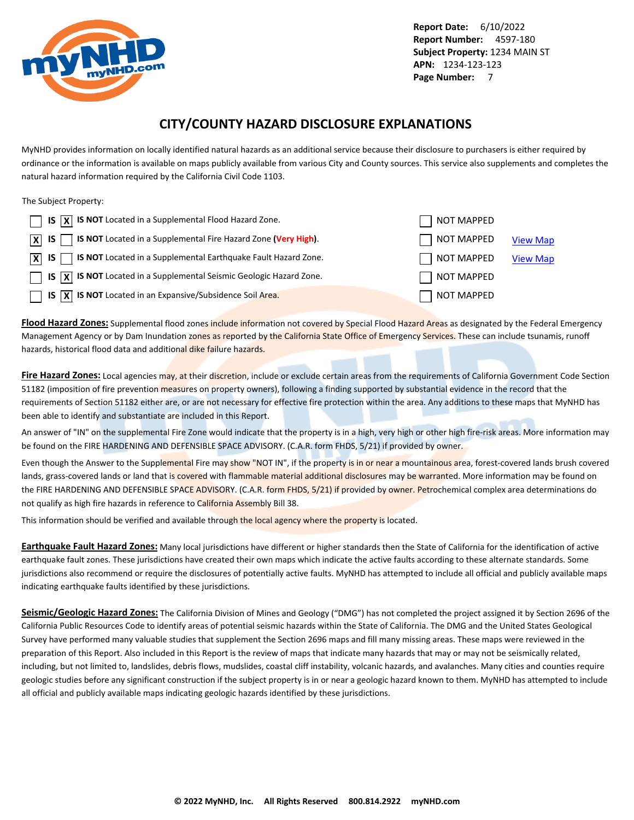<span id="page-8-0"></span>

### **CITY/COUNTY HAZARD DISCLOSURE EXPLANATIONS**

MyNHD provides information on locally identified natural hazards as an additional service because their disclosure to purchasers is either required by ordinance or the information is available on maps publicly available from various City and County sources. This service also supplements and completes the natural hazard information required by the California Civil Code 1103.

The Subject Property:

| $\Box$ IS $\overline{X}$ IS NOT Located in a Supplemental Flood Hazard Zone.                                 | NOT MAPPED |                 |
|--------------------------------------------------------------------------------------------------------------|------------|-----------------|
| $\boxed{\mathsf{X}}$ IS $\boxed{\phantom{1}}$ IS NOT Located in a Supplemental Fire Hazard Zone (Very High). | NOT MAPPED | <b>View Map</b> |
| $\overline{X}$ IS $\overline{S}$ IS NOT Located in a Supplemental Earthquake Fault Hazard Zone.              | NOT MAPPED | <b>View Map</b> |
| $\Box$ IS $\overline{X}$ IS NOT Located in a Supplemental Seismic Geologic Hazard Zone.                      | NOT MAPPED |                 |
| $\Box$ IS $\overline{X}$ IS NOT Located in an Expansive/Subsidence Soil Area.                                | NOT MAPPED |                 |

**Flood Hazard Zones:** Supplemental flood zones include information not covered by Special Flood Hazard Areas as designated by the Federal Emergency Management Agency or by Dam Inundation zones as reported by the California State Office of Emergency Services. These can include tsunamis, runoff hazards, historical flood data and additional dike failure hazards.

**Fire Hazard Zones:** Local agencies may, at their discretion, include or exclude certain areas from the requirements of California Government Code Section 51182 (imposition of fire prevention measures on property owners), following a finding supported by substantial evidence in the record that the requirements of Section 51182 either are, or are not necessary for effective fire protection within the area. Any additions to these maps that MyNHD has been able to identify and substantiate are included in this Report.

An answer of "IN" on the supplemental Fire Zone would indicate that the property is in a high, very high or other high fire-risk areas. More information may be found on the FIRE HARDENING AND DEFENSIBLE SPACE ADVISORY. (C.A.R. form FHDS, 5/21) if provided by owner.

Even though the Answer to the Supplemental Fire may show "NOT IN", if the property is in or near a mountainous area, forest-covered lands brush covered lands, grass-covered lands or land that is covered with flammable material additional disclosures may be warranted. More information may be found on the FIRE HARDENING AND DEFENSIBLE SPACE ADVISORY. (C.A.R. form FHDS, 5/21) if provided by owner. Petrochemical complex area determinations do not qualify as high fire hazards in reference to California Assembly Bill 38.

This information should be verified and available through the local agency where the property is located.

**Earthquake Fault Hazard Zones:** Many local jurisdictions have different or higher standards then the State of California for the identification of active earthquake fault zones. These jurisdictions have created their own maps which indicate the active faults according to these alternate standards. Some jurisdictions also recommend or require the disclosures of potentially active faults. MyNHD has attempted to include all official and publicly available maps indicating earthquake faults identified by these jurisdictions.

**Seismic/Geologic Hazard Zones:** The California Division of Mines and Geology ("DMG") has not completed the project assigned it by Section 2696 of the California Public Resources Code to identify areas of potential seismic hazards within the State of California. The DMG and the United States Geological Survey have performed many valuable studies that supplement the Section 2696 maps and fill many missing areas. These maps were reviewed in the preparation of this Report. Also included in this Report is the review of maps that indicate many hazards that may or may not be seismically related, including, but not limited to, landslides, debris flows, mudslides, coastal cliff instability, volcanic hazards, and avalanches. Many cities and counties require geologic studies before any significant construction if the subject property is in or near a geologic hazard known to them. MyNHD has attempted to include all official and publicly available maps indicating geologic hazards identified by these jurisdictions.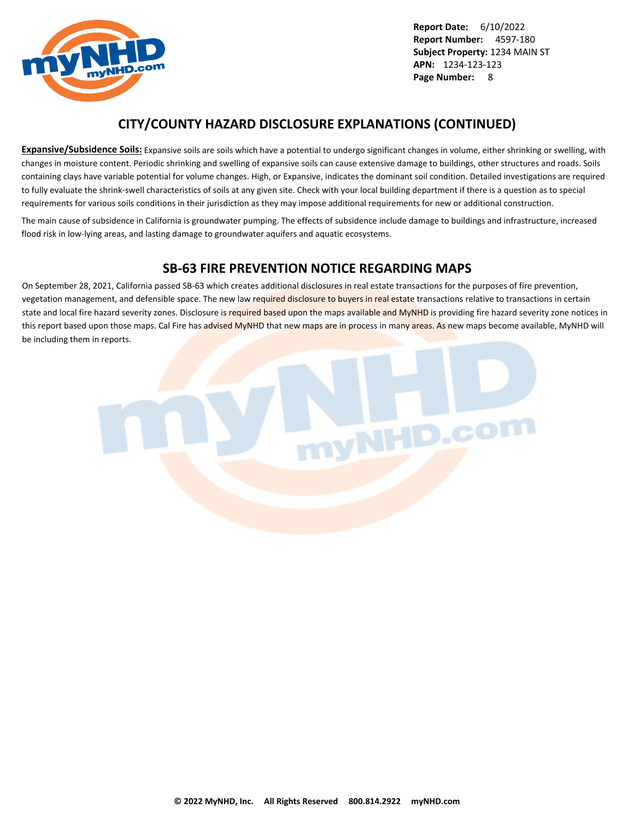

### **CITY/COUNTY HAZARD DISCLOSURE EXPLANATIONS (CONTINUED)**

**Expansive/Subsidence Soils:** Expansive soils are soils which have a potential to undergo significant changes in volume, either shrinking or swelling, with changes in moisture content. Periodic shrinking and swelling of expansive soils can cause extensive damage to buildings, other structures and roads. Soils containing clays have variable potential for volume changes. High, or Expansive, indicates the dominant soil condition. Detailed investigations are required to fully evaluate the shrink-swell characteristics of soils at any given site. Check with your local building department if there is a question as to special requirements for various soils conditions in their jurisdiction as they may impose additional requirements for new or additional construction.

The main cause of subsidence in California is groundwater pumping. The effects of subsidence include damage to buildings and infrastructure, increased flood risk in low-lying areas, and lasting damage to groundwater aquifers and aquatic ecosystems.

### **SB-63 FIRE PREVENTION NOTICE REGARDING MAPS**

On September 28, 2021, California passed SB-63 which creates additional disclosures in real estate transactions for the purposes of fire prevention, vegetation management, and defensible space. The new law required disclosure to buyers in real estate transactions relative to transactions in certain state and local fire hazard severity zones. Disclosure is required based upon the maps available and MyNHD is providing fire hazard severity zone notices in this report based upon those maps. Cal Fire has advised MyNHD that new maps are in process in many areas. As new maps become available, MyNHD will be including them in reports.

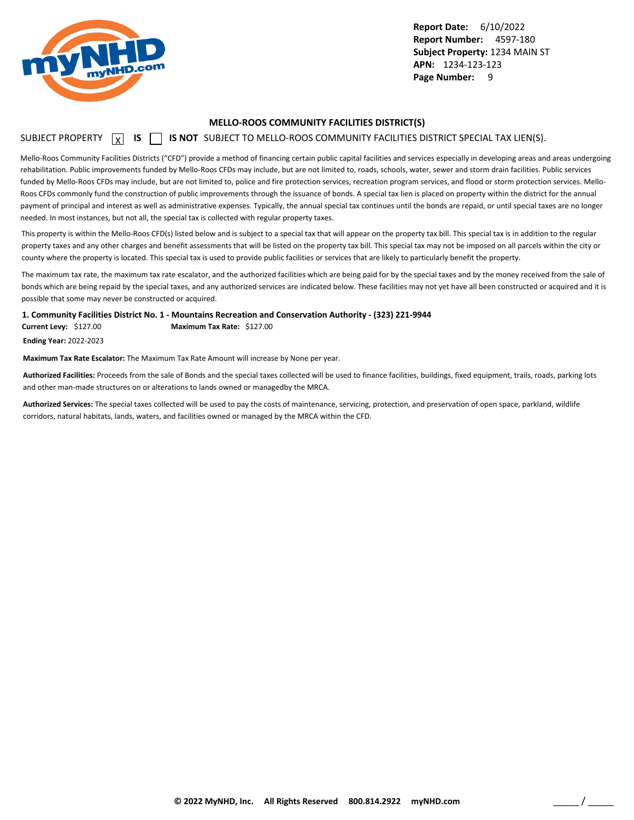<span id="page-10-0"></span>

#### **MELLO-ROOS COMMUNITY FACILITIES DISTRICT(S)**

### SUBJECT PROPERTY **X** IS **S** IS NOT SUBJECT TO MELLO-ROOS COMMUNITY FACILITIES DISTRICT SPECIAL TAX LIEN(S).

Mello-Roos Community Facilities Districts ("CFD") provide a method of financing certain public capital facilities and services especially in developing areas and areas undergoing rehabilitation. Public improvements funded by Mello-Roos CFDs may include, but are not limited to, roads, schools, water, sewer and storm drain facilities. Public services funded by Mello-Roos CFDs may include, but are not limited to, police and fire protection services, recreation program services, and flood or storm protection services. Mello-Roos CFDs commonly fund the construction of public improvements through the issuance of bonds. A special tax lien is placed on property within the district for the annual payment of principal and interest as well as administrative expenses. Typically, the annual special tax continues until the bonds are repaid, or until special taxes are no longer needed. In most instances, but not all, the special tax is collected with regular property taxes.

This property is within the Mello-Roos CFD(s) listed below and is subject to a special tax that will appear on the property tax bill. This special tax is in addition to the regular property taxes and any other charges and benefit assessments that will be listed on the property tax bill. This special tax may not be imposed on all parcels within the city or county where the property is located. This special tax is used to provide public facilities or services that are likely to particularly benefit the property.

The maximum tax rate, the maximum tax rate escalator, and the authorized facilities which are being paid for by the special taxes and by the money received from the sale of bonds which are being repaid by the special taxes, and any authorized services are indicated below. These facilities may not yet have all been constructed or acquired and it is possible that some may never be constructed or acquired.

**1. Community Facilities District No. 1 - Mountains Recreation and Conservation Authority - (323) 221-9944**

**Current Levy:** \$127.00 **Maximum Tax Rate:** \$127.00

**Ending Year:** 2022-2023

**Maximum Tax Rate Escalator:** The Maximum Tax Rate Amount will increase by None per year.

**Authorized Facilities:** Proceeds from the sale of Bonds and the special taxes collected will be used to finance facilities, buildings, fixed equipment, trails, roads, parking lots and other man-made structures on or alterations to lands owned or managedby the MRCA.

**Authorized Services:** The special taxes collected will be used to pay the costs of maintenance, servicing, protection, and preservation of open space, parkland, wildlife corridors, natural habitats, lands, waters, and facilities owned or managed by the MRCA within the CFD.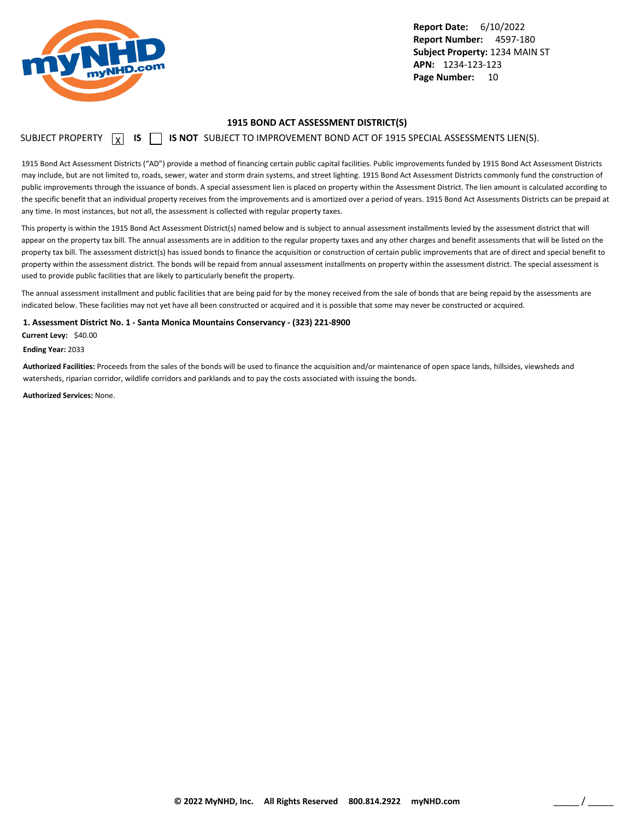<span id="page-11-0"></span>

#### **1915 BOND ACT ASSESSMENT DISTRICT(S)**

### SUBJECT PROPERTY  $\boxed{\chi}$  **IS**  $\boxed{\phantom{\chi}}$  **IS NOT** SUBJECT TO IMPROVEMENT BOND ACT OF 1915 SPECIAL ASSESSMENTS LIEN(S).

1915 Bond Act Assessment Districts ("AD") provide a method of financing certain public capital facilities. Public improvements funded by 1915 Bond Act Assessment Districts may include, but are not limited to, roads, sewer, water and storm drain systems, and street lighting. 1915 Bond Act Assessment Districts commonly fund the construction of public improvements through the issuance of bonds. A special assessment lien is placed on property within the Assessment District. The lien amount is calculated according to the specific benefit that an individual property receives from the improvements and is amortized over a period of years. 1915 Bond Act Assessments Districts can be prepaid at any time. In most instances, but not all, the assessment is collected with regular property taxes.

This property is within the 1915 Bond Act Assessment District(s) named below and is subject to annual assessment installments levied by the assessment district that will appear on the property tax bill. The annual assessments are in addition to the regular property taxes and any other charges and benefit assessments that will be listed on the property tax bill. The assessment district(s) has issued bonds to finance the acquisition or construction of certain public improvements that are of direct and special benefit to property within the assessment district. The bonds will be repaid from annual assessment installments on property within the assessment district. The special assessment is used to provide public facilities that are likely to particularly benefit the property.

The annual assessment installment and public facilities that are being paid for by the money received from the sale of bonds that are being repaid by the assessments are indicated below. These facilities may not yet have all been constructed or acquired and it is possible that some may never be constructed or acquired.

**1. Assessment District No. 1 - Santa Monica Mountains Conservancy - (323) 221-8900**

**Current Levy:** \$40.00

**Ending Year:** 2033

**Authorized Facilities:** Proceeds from the sales of the bonds will be used to finance the acquisition and/or maintenance of open space lands, hillsides, viewsheds and watersheds, riparian corridor, wildlife corridors and parklands and to pay the costs associated with issuing the bonds.

**Authorized Services:** None.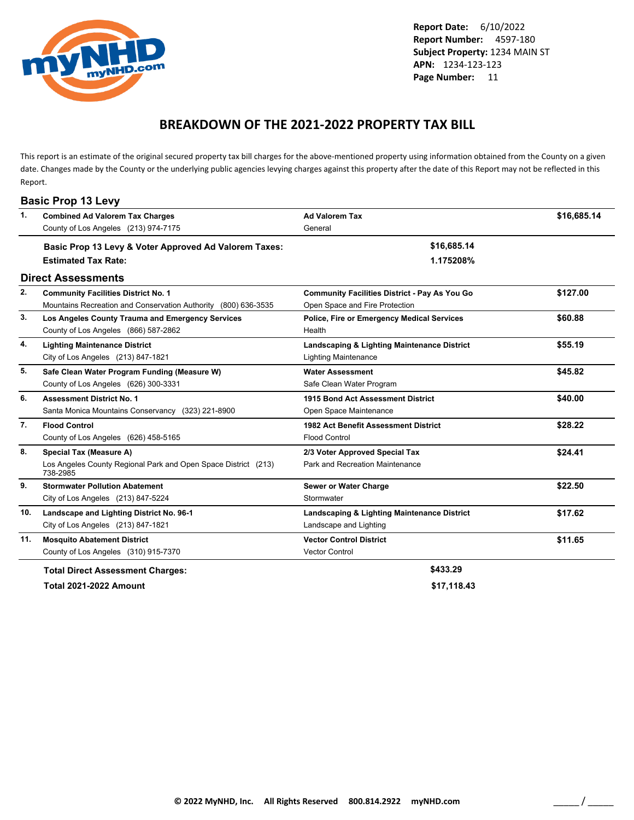<span id="page-12-0"></span>

### **BREAKDOWN OF THE 2021-2022 PROPERTY TAX BILL**

This report is an estimate of the original secured property tax bill charges for the above-mentioned property using information obtained from the County on a given date. Changes made by the County or the underlying public agencies levying charges against this property after the date of this Report may not be reflected in this Report.

|     | <b>Basic Prop 13 Levy</b>                                                  |                                                      |             |
|-----|----------------------------------------------------------------------------|------------------------------------------------------|-------------|
| 1.  | <b>Combined Ad Valorem Tax Charges</b>                                     | <b>Ad Valorem Tax</b>                                | \$16,685.14 |
|     | County of Los Angeles (213) 974-7175                                       | General                                              |             |
|     | Basic Prop 13 Levy & Voter Approved Ad Valorem Taxes:                      | \$16,685.14                                          |             |
|     | <b>Estimated Tax Rate:</b>                                                 | 1.175208%                                            |             |
|     | <b>Direct Assessments</b>                                                  |                                                      |             |
| 2.  | <b>Community Facilities District No. 1</b>                                 | <b>Community Facilities District - Pay As You Go</b> | \$127.00    |
|     | Mountains Recreation and Conservation Authority (800) 636-3535             | Open Space and Fire Protection                       |             |
| 3.  | Los Angeles County Trauma and Emergency Services                           | Police, Fire or Emergency Medical Services           | \$60.88     |
|     | County of Los Angeles (866) 587-2862                                       | Health                                               |             |
| 4.  | <b>Lighting Maintenance District</b>                                       | Landscaping & Lighting Maintenance District          | \$55.19     |
|     | City of Los Angeles (213) 847-1821                                         | <b>Lighting Maintenance</b>                          |             |
| 5.  | Safe Clean Water Program Funding (Measure W)                               | <b>Water Assessment</b>                              | \$45.82     |
|     | County of Los Angeles (626) 300-3331                                       | Safe Clean Water Program                             |             |
| 6.  | <b>Assessment District No. 1</b>                                           | 1915 Bond Act Assessment District                    | \$40.00     |
|     | Santa Monica Mountains Conservancy (323) 221-8900                          | Open Space Maintenance                               |             |
| 7.  | <b>Flood Control</b>                                                       | 1982 Act Benefit Assessment District                 | \$28.22     |
|     | County of Los Angeles (626) 458-5165                                       | <b>Flood Control</b>                                 |             |
| 8.  | Special Tax (Measure A)                                                    | 2/3 Voter Approved Special Tax                       | \$24.41     |
|     | Los Angeles County Regional Park and Open Space District (213)<br>738-2985 | Park and Recreation Maintenance                      |             |
| 9.  | <b>Stormwater Pollution Abatement</b>                                      | Sewer or Water Charge                                | \$22.50     |
|     | City of Los Angeles (213) 847-5224                                         | Stormwater                                           |             |
| 10. | Landscape and Lighting District No. 96-1                                   | Landscaping & Lighting Maintenance District          | \$17.62     |
|     | City of Los Angeles (213) 847-1821                                         | Landscape and Lighting                               |             |
| 11. | <b>Mosquito Abatement District</b>                                         | <b>Vector Control District</b>                       | \$11.65     |
|     | County of Los Angeles (310) 915-7370                                       | <b>Vector Control</b>                                |             |
|     | <b>Total Direct Assessment Charges:</b>                                    | \$433.29                                             |             |

**Total 2021-2022 Amount \$17,118.43**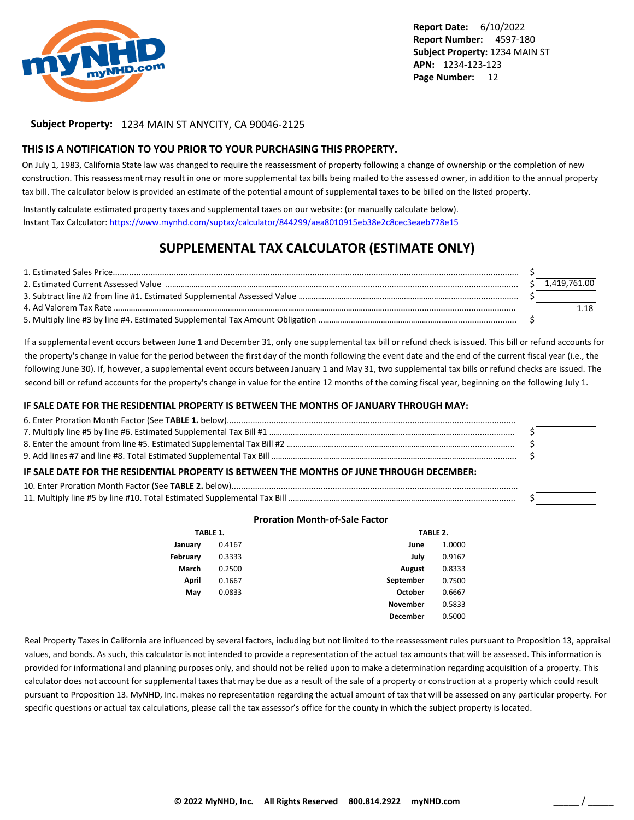

#### **Subject Property:** 1234 MAIN ST ANYCITY, CA 90046-2125

#### **THIS IS A NOTIFICATION TO YOU PRIOR TO YOUR PURCHASING THIS PROPERTY.**

On July 1, 1983, California State law was changed to require the reassessment of property following a change of ownership or the completion of new construction. This reassessment may result in one or more supplemental tax bills being mailed to the assessed owner, in addition to the annual property tax bill. The calculator below is provided an estimate of the potential amount of supplemental taxes to be billed on the listed property.

Instantly calculate estimated property taxes and supplemental taxes on our website: (or manually calculate below). Instant Tax Calculator: <https://www.mynhd.com/suptax/calculator/844299/aea8010915eb38e2c8cec3eaeb778e15>

### **SUPPLEMENTAL TAX CALCULATOR (ESTIMATE ONLY)**

|  | 1.419.761.00 |
|--|--------------|
|  |              |
|  |              |
|  |              |

If a supplemental event occurs between June 1 and December 31, only one supplemental tax bill or refund check is issued. This bill or refund accounts for the property's change in value for the period between the first day of the month following the event date and the end of the current fiscal year (i.e., the following June 30). If, however, a supplemental event occurs between January 1 and May 31, two supplemental tax bills or refund checks are issued. The second bill or refund accounts for the property's change in value for the entire 12 months of the coming fiscal year, beginning on the following July 1.

#### **IF SALE DATE FOR THE RESIDENTIAL PROPERTY IS BETWEEN THE MONTHS OF JANUARY THROUGH MAY:**

| IF SALE DATE FOR THE RESIDENTIAL PROPERTY IS BETWEEN THE MONTHS OF JUNE THROUGH DECEMBER: |  |  |  |
|-------------------------------------------------------------------------------------------|--|--|--|
|                                                                                           |  |  |  |
|                                                                                           |  |  |  |

#### **Proration Month-of-Sale Factor**

| TABLE 1. |        |                 | TABLE 2. |  |
|----------|--------|-----------------|----------|--|
| January  | 0.4167 | June            | 1.0000   |  |
| February | 0.3333 | July            | 0.9167   |  |
| March    | 0.2500 | <b>August</b>   | 0.8333   |  |
| April    | 0.1667 | September       | 0.7500   |  |
| May      | 0.0833 | October         | 0.6667   |  |
|          |        | <b>November</b> | 0.5833   |  |
|          |        | <b>December</b> | 0.5000   |  |

Real Property Taxes in California are influenced by several factors, including but not limited to the reassessment rules pursuant to Proposition 13, appraisal values, and bonds. As such, this calculator is not intended to provide a representation of the actual tax amounts that will be assessed. This information is provided for informational and planning purposes only, and should not be relied upon to make a determination regarding acquisition of a property. This calculator does not account for supplemental taxes that may be due as a result of the sale of a property or construction at a property which could result pursuant to Proposition 13. MyNHD, Inc. makes no representation regarding the actual amount of tax that will be assessed on any particular property. For specific questions or actual tax calculations, please call the tax assessor's office for the county in which the subject property is located.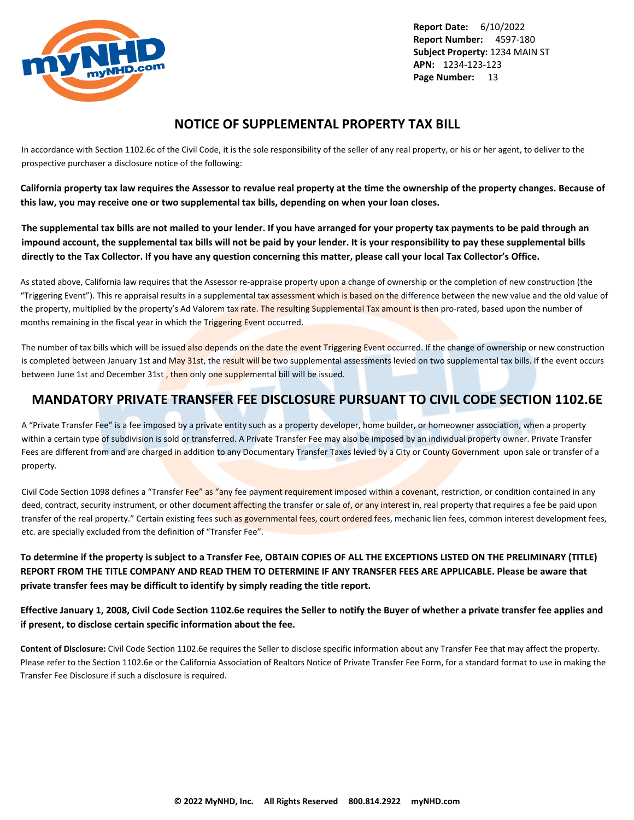<span id="page-14-0"></span>

### **NOTICE OF SUPPLEMENTAL PROPERTY TAX BILL**

In accordance with Section 1102.6c of the Civil Code, it is the sole responsibility of the seller of any real property, or his or her agent, to deliver to the prospective purchaser a disclosure notice of the following:

**California property tax law requires the Assessor to revalue real property at the time the ownership of the property changes. Because of this law, you may receive one or two supplemental tax bills, depending on when your loan closes.**

**The supplemental tax bills are not mailed to your lender. If you have arranged for your property tax payments to be paid through an impound account, the supplemental tax bills will not be paid by your lender. It is your responsibility to pay these supplemental bills directly to the Tax Collector. If you have any question concerning this matter, please call your local Tax Collector's Office.**

As stated above, California law requires that the Assessor re-appraise property upon a change of ownership or the completion of new construction (the "Triggering Event"). This re appraisal results in a supplemental tax assessment which is based on the difference between the new value and the old value of the property, multiplied by the property's Ad Valorem tax rate. The resulting Supplemental Tax amount is then pro-rated, based upon the number of months remaining in the fiscal year in which the Triggering Event occurred.

The number of tax bills which will be issued also depends on the date the event Triggering Event occurred. If the change of ownership or new construction is completed between January 1st and May 31st, the result will be two supplemental assessments levied on two supplemental tax bills. If the event occurs between June 1st and December 31st, then only one supplemental bill will be issued.

### **MANDATORY PRIVATE TRANSFER FEE DISCLOSURE PURSUANT TO CIVIL CODE SECTION 1102.6E**

A "Private Transfer Fee" is a fee imposed by a private entity such as a property developer, home builder, or homeowner association, when a property within a certain type of subdivision is sold or transferred. A Private Transfer Fee may also be imposed by an individual property owner. Private Transfer Fees are different from and are charged in addition to any Documentary Transfer Taxes levied by a City or County Government upon sale or transfer of a property.

Civil Code Section 1098 defines a "Transfer Fee" as "any fee payment requirement imposed within a covenant, restriction, or condition contained in any deed, contract, security instrument, or other document affecting the transfer or sale of, or any interest in, real property that requires a fee be paid upon transfer of the real property." Certain existing fees such as governmental fees, court ordered fees, mechanic lien fees, common interest development fees, etc. are specially excluded from the definition of "Transfer Fee".

**To determine if the property is subject to a Transfer Fee, OBTAIN COPIES OF ALL THE EXCEPTIONS LISTED ON THE PRELIMINARY (TITLE) REPORT FROM THE TITLE COMPANY AND READ THEM TO DETERMINE IF ANY TRANSFER FEES ARE APPLICABLE. Please be aware that private transfer fees may be difficult to identify by simply reading the title report.**

**Effective January 1, 2008, Civil Code Section 1102.6e requires the Seller to notify the Buyer of whether a private transfer fee applies and if present, to disclose certain specific information about the fee.**

**Content of Disclosure:** Civil Code Section 1102.6e requires the Seller to disclose specific information about any Transfer Fee that may affect the property. Please refer to the Section 1102.6e or the California Association of Realtors Notice of Private Transfer Fee Form, for a standard format to use in making the Transfer Fee Disclosure if such a disclosure is required.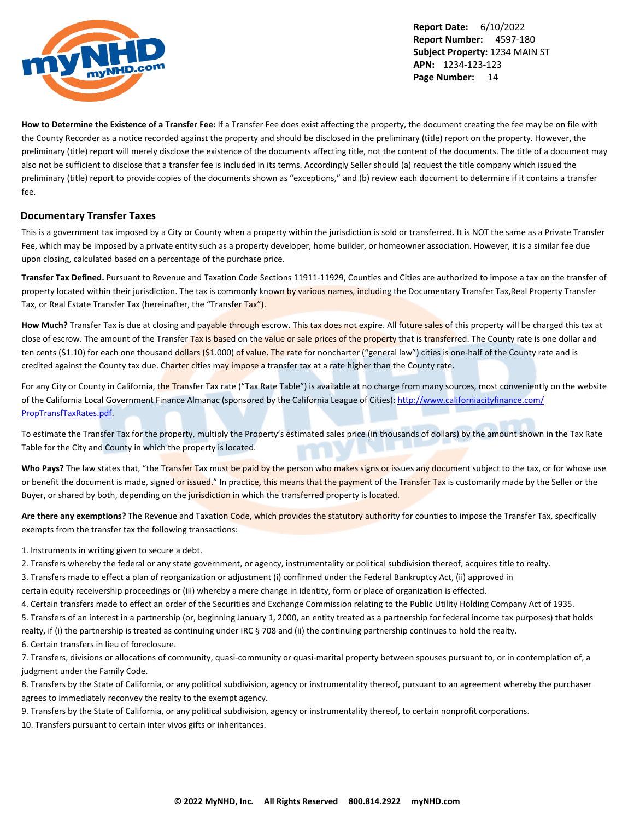

**How to Determine the Existence of a Transfer Fee:** If a Transfer Fee does exist affecting the property, the document creating the fee may be on file with the County Recorder as a notice recorded against the property and should be disclosed in the preliminary (title) report on the property. However, the preliminary (title) report will merely disclose the existence of the documents affecting title, not the content of the documents. The title of a document may also not be sufficient to disclose that a transfer fee is included in its terms. Accordingly Seller should (a) request the title company which issued the preliminary (title) report to provide copies of the documents shown as "exceptions," and (b) review each document to determine if it contains a transfer fee.

#### **Documentary Transfer Taxes**

This is a government tax imposed by a City or County when a property within the jurisdiction is sold or transferred. It is NOT the same as a Private Transfer Fee, which may be imposed by a private entity such as a property developer, home builder, or homeowner association. However, it is a similar fee due upon closing, calculated based on a percentage of the purchase price.

**Transfer Tax Defined.** Pursuant to Revenue and Taxation Code Sections 11911-11929, Counties and Cities are authorized to impose a tax on the transfer of property located within their jurisdiction. The tax is commonly known by various names, including the Documentary Transfer Tax,Real Property Transfer Tax, or Real Estate Transfer Tax (hereinafter, the "Transfer Tax").

How Much? Transfer Tax is due at closing and payable through escrow. This tax does not expire. All future sales of this property will be charged this tax at close of escrow. The amount of the Transfer Tax is based on the value or sale prices of the property that is transferred. The County rate is one dollar and ten cents (\$1.10) for each one thousand dollars (\$1.000) of value. The rate for noncharter ("general law") cities is one-half of the County rate and is credited against the County tax due. Charter cities may impose a transfer tax at a rate higher than the County rate.

For any City or County in California, the Transfer Tax rate ("Tax Rate Table") is available at no charge from many sources, most conveniently on the website of the California Local Government Finance Almanac (sponsored by the California League of Cities): [http://www.californiacityfinance.com/](http://www.californiacityfinance.com/PropTransfTaxRates.pdf) [PropTransfTaxRates.pdf](http://www.californiacityfinance.com/PropTransfTaxRates.pdf).

To estimate the Transfer Tax for the property, multiply the Property's estimated sales price (in thousands of dollars) by the amount shown in the Tax Rate Table for the City and County in which the property is located.

Who Pays? The law states that, "the Transfer Tax must be paid by the person who makes signs or issues any document subject to the tax, or for whose use or benefit the document is made, signed or issued." In practice, this means that the payment of the Transfer Tax is customarily made by the Seller or the Buyer, or shared by both, depending on the jurisdiction in which the transferred property is located.

**Are there any exemptions?** The Revenue and Taxation Code, which provides the statutory authority for counties to impose the Transfer Tax, specifically exempts from the transfer tax the following transactions:

1. Instruments in writing given to secure a debt.

2. Transfers whereby the federal or any state government, or agency, instrumentality or political subdivision thereof, acquires title to realty.

3. Transfers made to effect a plan of reorganization or adjustment (i) confirmed under the Federal Bankruptcy Act, (ii) approved in

certain equity receivership proceedings or (iii) whereby a mere change in identity, form or place of organization is effected.

4. Certain transfers made to effect an order of the Securities and Exchange Commission relating to the Public Utility Holding Company Act of 1935.

5. Transfers of an interest in a partnership (or, beginning January 1, 2000, an entity treated as a partnership for federal income tax purposes) that holds realty, if (i) the partnership is treated as continuing under IRC § 708 and (ii) the continuing partnership continues to hold the realty.

6. Certain transfers in lieu of foreclosure.

7. Transfers, divisions or allocations of community, quasi-community or quasi-marital property between spouses pursuant to, or in contemplation of, a judgment under the Family Code.

8. Transfers by the State of California, or any political subdivision, agency or instrumentality thereof, pursuant to an agreement whereby the purchaser agrees to immediately reconvey the realty to the exempt agency.

9. Transfers by the State of California, or any political subdivision, agency or instrumentality thereof, to certain nonprofit corporations.

10. Transfers pursuant to certain inter vivos gifts or inheritances.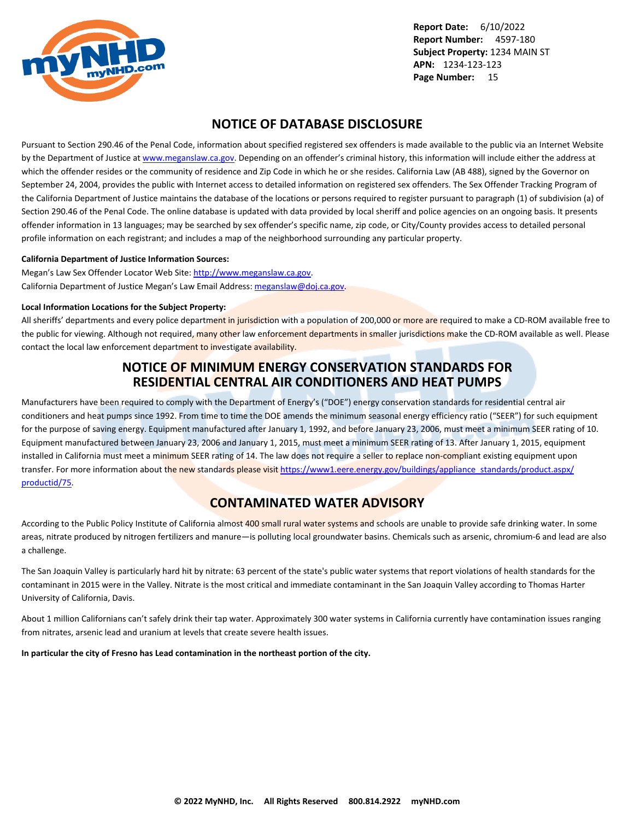<span id="page-16-0"></span>

### **NOTICE OF DATABASE DISCLOSURE**

Pursuant to Section 290.46 of the Penal Code, information about specified registered sex offenders is made available to the public via an Internet Website by the Department of Justice at <www.meganslaw.ca.gov>. Depending on an offender's criminal history, this information will include either the address at which the offender resides or the community of residence and Zip Code in which he or she resides. California Law (AB 488), signed by the Governor on September 24, 2004, provides the public with Internet access to detailed information on registered sex offenders. The Sex Offender Tracking Program of the California Department of Justice maintains the database of the locations or persons required to register pursuant to paragraph (1) of subdivision (a) of Section 290.46 of the Penal Code. The online database is updated with data provided by local sheriff and police agencies on an ongoing basis. It presents offender information in 13 languages; may be searched by sex offender's specific name, zip code, or City/County provides access to detailed personal profile information on each registrant; and includes a map of the neighborhood surrounding any particular property.

#### **California Department of Justice Information Sources:**

Megan's Law Sex Offender Locator Web Site: <http://www.meganslaw.ca.gov>. California Department of Justice Megan's Law Email Address: [meganslaw@doj.ca.gov](mailto:meganslaw@doj.ca.gov).

#### **Local Information Locations for the Subject Property:**

All sheriffs' departments and every police department in jurisdiction with a population of 200,000 or more are required to make a CD-ROM available free to the public for viewing. Although not required, many other law enforcement departments in smaller jurisdictions make the CD-ROM available as well. Please contact the local law enforcement department to investigate availability.

### **NOTICE OF MINIMUM ENERGY CONSERVATION STANDARDS FOR RESIDENTIAL CENTRAL AIR CONDITIONERS AND HEAT PUMPS**

Manufacturers have been required to comply with the Department of Energy's ("DOE") energy conservation standards for residential central air conditioners and heat pumps since 1992. From time to time the DOE amends the minimum seasonal energy efficiency ratio ("SEER") for such equipment for the purpose of saving energy. Equipment manufactured after January 1, 1992, and before January 23, 2006, must meet a minimum SEER rating of 10. Equipment manufactured between January 23, 2006 and January 1, 2015, must meet a minimum SEER rating of 13. After January 1, 2015, equipment installed in California must meet a minimum SEER rating of 14. The law does not require a seller to replace non-compliant existing equipment upon transfer. For more information about the new standards please visit [https://www1.eere.energy.gov/buildings/appliance\\_standards/product.aspx/](https://www1.eere.energy.gov/buildings/appliance_standards/product.aspx/productid/75) [productid/75.](https://www1.eere.energy.gov/buildings/appliance_standards/product.aspx/productid/75)

### **CONTAMINATED WATER ADVISORY**

According to the Public Policy Institute of California almost 400 small rural water systems and schools are unable to provide safe drinking water. In some areas, nitrate produced by nitrogen fertilizers and manure—is polluting local groundwater basins. Chemicals such as arsenic, chromium-6 and lead are also a challenge.

The San Joaquin Valley is particularly hard hit by nitrate: 63 percent of the state's public water systems that report violations of health standards for the contaminant in 2015 were in the Valley. Nitrate is the most critical and immediate contaminant in the San Joaquin Valley according to Thomas Harter University of California, Davis.

About 1 million Californians can't safely drink their tap water. Approximately 300 water systems in California currently have contamination issues ranging from nitrates, arsenic lead and uranium at levels that create severe health issues.

**In particular the city of Fresno has Lead contamination in the northeast portion of the city.**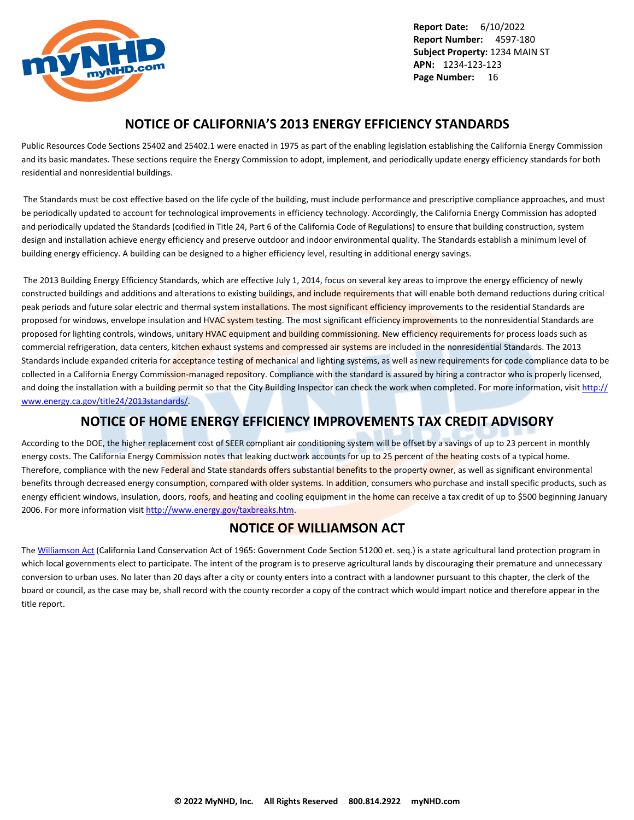<span id="page-17-0"></span>

### **NOTICE OF CALIFORNIA'S 2013 ENERGY EFFICIENCY STANDARDS**

Public Resources Code Sections 25402 and 25402.1 were enacted in 1975 as part of the enabling legislation establishing the California Energy Commission and its basic mandates. These sections require the Energy Commission to adopt, implement, and periodically update energy efficiency standards for both residential and nonresidential buildings.

 The Standards must be cost effective based on the life cycle of the building, must include performance and prescriptive compliance approaches, and must be periodically updated to account for technological improvements in efficiency technology. Accordingly, the California Energy Commission has adopted and periodically updated the Standards (codified in Title 24, Part 6 of the California Code of Regulations) to ensure that building construction, system design and installation achieve energy efficiency and preserve outdoor and indoor environmental quality. The Standards establish a minimum level of building energy efficiency. A building can be designed to a higher efficiency level, resulting in additional energy savings.

 The 2013 Building Energy Efficiency Standards, which are effective July 1, 2014, focus on several key areas to improve the energy efficiency of newly constructed buildings and additions and alterations to existing buildings, and include requirements that will enable both demand reductions during critical peak periods and future solar electric and thermal system installations. The most significant efficiency improvements to the residential Standards are proposed for windows, envelope insulation and HVAC system testing. The most significant efficiency improvements to the nonresidential Standards are proposed for lighting controls, windows, unitary HVAC equipment and building commissioning. New efficiency requirements for process loads such as commercial refrigeration, data centers, kitchen exhaust systems and compressed air systems are included in the nonresidential Standards. The 2013 Standards include expanded criteria for acceptance testing of mechanical and lighting systems, as well as new requirements for code compliance data to be collected in a California Energy Commission-managed repository. Compliance with the standard is assured by hiring a contractor who is properly licensed, and doing the installation with a building permit so that the City Building Inspector can check the work when completed. For more information, visit [http://](http://www.energy.ca.gov/title24/2013standards/) [www.energy.ca.gov/title24/2013standards/](http://www.energy.ca.gov/title24/2013standards/).

### **NOTICE OF HOME ENERGY EFFICIENCY IMPROVEMENTS TAX CREDIT ADVISORY**

According to the DOE, the higher replacement cost of SEER compliant air conditioning system will be offset by a savings of up to 23 percent in monthly energy costs. The California Energy Commission notes that leaking ductwork accounts for up to 25 percent of the heating costs of a typical home. Therefore, compliance with the new Federal and State standards offers substantial benefits to the property owner, as well as significant environmental benefits through decreased energy consumption, compared with older systems. In addition, consumers who purchase and install specific products, such as energy efficient windows, insulation, doors, roofs, and heating and cooling equipment in the home can receive a tax credit of up to \$500 beginning January 2006. For more information visit [http://www.energy.gov/taxbreaks.htm.](http://www.energy.gov/taxbreaks.htm)

### **NOTICE OF WILLIAMSON ACT**

The [Williamson Act](http://www.conservation.ca.gov/dlrp/lca) (California Land Conservation Act of 1965: Government Code Section 51200 et. seq.) is a state agricultural land protection program in which local governments elect to participate. The intent of the program is to preserve agricultural lands by discouraging their premature and unnecessary conversion to urban uses. No later than 20 days after a city or county enters into a contract with a landowner pursuant to this chapter, the clerk of the board or council, as the case may be, shall record with the county recorder a copy of the contract which would impart notice and therefore appear in the title report.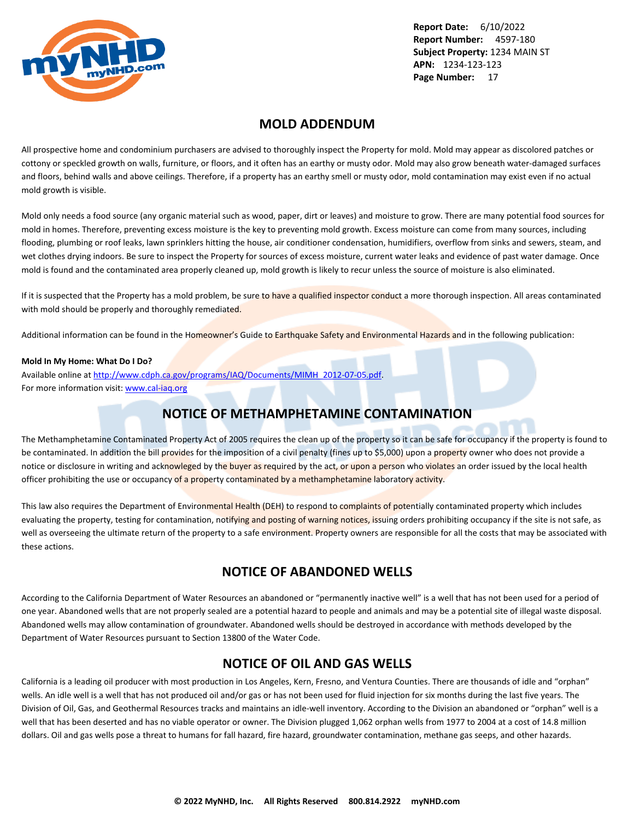<span id="page-18-0"></span>

### **MOLD ADDENDUM**

All prospective home and condominium purchasers are advised to thoroughly inspect the Property for mold. Mold may appear as discolored patches or cottony or speckled growth on walls, furniture, or floors, and it often has an earthy or musty odor. Mold may also grow beneath water-damaged surfaces and floors, behind walls and above ceilings. Therefore, if a property has an earthy smell or musty odor, mold contamination may exist even if no actual mold growth is visible.

Mold only needs a food source (any organic material such as wood, paper, dirt or leaves) and moisture to grow. There are many potential food sources for mold in homes. Therefore, preventing excess moisture is the key to preventing mold growth. Excess moisture can come from many sources, including flooding, plumbing or roof leaks, lawn sprinklers hitting the house, air conditioner condensation, humidifiers, overflow from sinks and sewers, steam, and wet clothes drying indoors. Be sure to inspect the Property for sources of excess moisture, current water leaks and evidence of past water damage. Once mold is found and the contaminated area properly cleaned up, mold growth is likely to recur unless the source of moisture is also eliminated.

If it is suspected that the Property has a mold problem, be sure to have a qualified inspector conduct a more thorough inspection. All areas contaminated with mold should be properly and thoroughly remediated.

Additional information can be found in the Homeowner's Guide to Earthquake Safety and Environmental Hazards and in the following publication:

#### **Mold In My Home: What Do I Do?**

Available online at [http://www.cdph.ca.gov/programs/IAQ/Documents/MIMH\\_2012-07-05.pdf](http://www.cdph.ca.gov/programs/IAQ/Documents/MIMH_2012-07-05.pdf). For more information visit: <www.cal-iaq.org>

### **NOTICE OF METHAMPHETAMINE CONTAMINATION**

The Methamphetamine Contaminated Property Act of 2005 requires the clean up of the property so it can be safe for occupancy if the property is found to be contaminated. In addition the bill provides for the imposition of a civil penalty (fines up to \$5,000) upon a property owner who does not provide a notice or disclosure in writing and acknowleged by the buyer as required by the act, or upon a person who violates an order issued by the local health officer prohibiting the use or occupancy of a property contaminated by a methamphetamine laboratory activity.

This law also requires the Department of Environmental Health (DEH) to respond to complaints of potentially contaminated property which includes evaluating the property, testing for contamination, notifying and posting of warning notices, issuing orders prohibiting occupancy if the site is not safe, as well as overseeing the ultimate return of the property to a safe environment. Property owners are responsible for all the costs that may be associated with these actions.

### **NOTICE OF ABANDONED WELLS**

According to the California Department of Water Resources an abandoned or "permanently inactive well" is a well that has not been used for a period of one year. Abandoned wells that are not properly sealed are a potential hazard to people and animals and may be a potential site of illegal waste disposal. Abandoned wells may allow contamination of groundwater. Abandoned wells should be destroyed in accordance with methods developed by the Department of Water Resources pursuant to Section 13800 of the Water Code.

### **NOTICE OF OIL AND GAS WELLS**

California is a leading oil producer with most production in Los Angeles, Kern, Fresno, and Ventura Counties. There are thousands of idle and "orphan" wells. An idle well is a well that has not produced oil and/or gas or has not been used for fluid injection for six months during the last five years. The Division of Oil, Gas, and Geothermal Resources tracks and maintains an idle-well inventory. According to the Division an abandoned or "orphan" well is a well that has been deserted and has no viable operator or owner. The Division plugged 1,062 orphan wells from 1977 to 2004 at a cost of 14.8 million dollars. Oil and gas wells pose a threat to humans for fall hazard, fire hazard, groundwater contamination, methane gas seeps, and other hazards.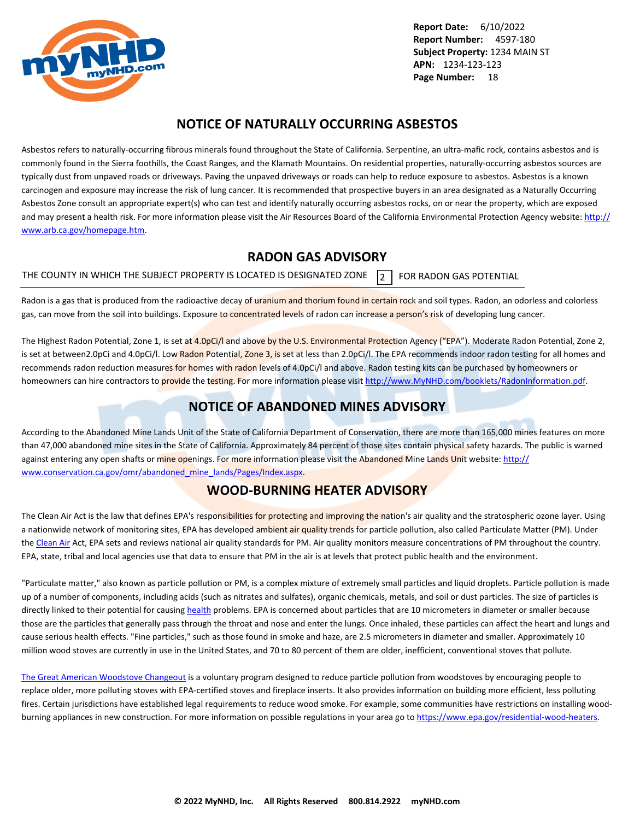<span id="page-19-0"></span>

### **NOTICE OF NATURALLY OCCURRING ASBESTOS**

Asbestos refers to naturally-occurring fibrous minerals found throughout the State of California. Serpentine, an ultra-mafic rock, contains asbestos and is commonly found in the Sierra foothills, the Coast Ranges, and the Klamath Mountains. On residential properties, naturally-occurring asbestos sources are typically dust from unpaved roads or driveways. Paving the unpaved driveways or roads can help to reduce exposure to asbestos. Asbestos is a known carcinogen and exposure may increase the risk of lung cancer. It is recommended that prospective buyers in an area designated as a Naturally Occurring Asbestos Zone consult an appropriate expert(s) who can test and identify naturally occurring asbestos rocks, on or near the property, which are exposed and may present a health risk. For more information please visit the Air Resources Board of the California Environmental Protection Agency website: [http://](http://www.arb.ca.gov/homepage.htm) [www.arb.ca.gov/homepage.htm](http://www.arb.ca.gov/homepage.htm).

### **RADON GAS ADVISORY**

THE COUNTY IN WHICH THE SUBJECT PROPERTY IS LOCATED IS DESIGNATED ZONE  $\overline{2}$  FOR RADON GAS POTENTIAL

Radon is a gas that is produced from the radioactive decay of uranium and thorium found in certain rock and soil types. Radon, an odorless and colorless gas, can move from the soil into buildings. Exposure to concentrated levels of radon can increase a person's risk of developing lung cancer.

The Highest Radon Potential, Zone 1, is set at 4.0pCi/l and above by the U.S. Environmental Protection Agency ("EPA"). Moderate Radon Potential, Zone 2, is set at between2.0pCi and 4.0pCi/l. Low Radon Potential, Zone 3, is set at less than 2.0pCi/l. The EPA recommends indoor radon testing for all homes and recommends radon reduction measures for homes with radon levels of 4.0pCi/l and above. Radon testing kits can be purchased by homeowners or homeowners can hire contractors to provide the testing. For more information please visit <http://www.MyNHD.com/booklets/RadonInformation.pdf>.

### **NOTICE OF ABANDONED MINES ADVISORY**

According to the Abandoned Mine Lands Unit of the State of California Department of Conservation, there are more than 165,000 mines features on more than 47,000 abandoned mine sites in the State of California. Approximately 84 percent of those sites contain physical safety hazards. The public is warned against entering any open shafts or mine openings. For more information please visit the Abandoned Mine Lands Unit website: [http://](http://www.conservation.ca.gov/omr/abandoned_mine_lands/Pages/Index.aspx) [www.conservation.ca.gov/omr/abandoned\\_mine\\_lands/Pages/Index.aspx](http://www.conservation.ca.gov/omr/abandoned_mine_lands/Pages/Index.aspx).

### **WOOD-BURNING HEATER ADVISORY**

The Clean Air Act is the law that defines EPA's responsibilities for protecting and improving the nation's air quality and the stratospheric ozone layer. Using a nationwide network of monitoring sites, EPA has developed ambient air quality trends for particle pollution, also called Particulate Matter (PM). Under the [Clean Air](http://www.epa.gov/airtrends/pm.html) Act, EPA sets and reviews national air quality standards for PM. Air quality monitors measure concentrations of PM throughout the country. EPA, state, tribal and local agencies use that data to ensure that PM in the air is at levels that protect public health and the environment.

"Particulate matter," also known as particle pollution or PM, is a complex mixture of extremely small particles and liquid droplets. Particle pollution is made up of a number of components, including acids (such as nitrates and sulfates), organic chemicals, metals, and soil or dust particles. The size of particles is directly linked to their potential for causing [health](http://www.epa.gov/pm/) problems. EPA is concerned about particles that are 10 micrometers in diameter or smaller because those are the particles that generally pass through the throat and nose and enter the lungs. Once inhaled, these particles can affect the heart and lungs and cause serious health effects. "Fine particles," such as those found in smoke and haze, are 2.5 micrometers in diameter and smaller. Approximately 10 million wood stoves are currently in use in the United States, and 70 to 80 percent of them are older, inefficient, conventional stoves that pollute.

[The Great American Woodstove Changeout](https://archive.epa.gov/bns/web/pdf/woodstovebrochure1_08.pdf) is a voluntary program designed to reduce particle pollution from woodstoves by encouraging people to replace older, more polluting stoves with EPA-certified stoves and fireplace inserts. It also provides information on building more efficient, less polluting fires. Certain jurisdictions have established legal requirements to reduce wood smoke. For example, some communities have restrictions on installing woodburning appliances in new construction. For more information on possible regulations in your area go to<https://www.epa.gov/residential-wood-heaters>.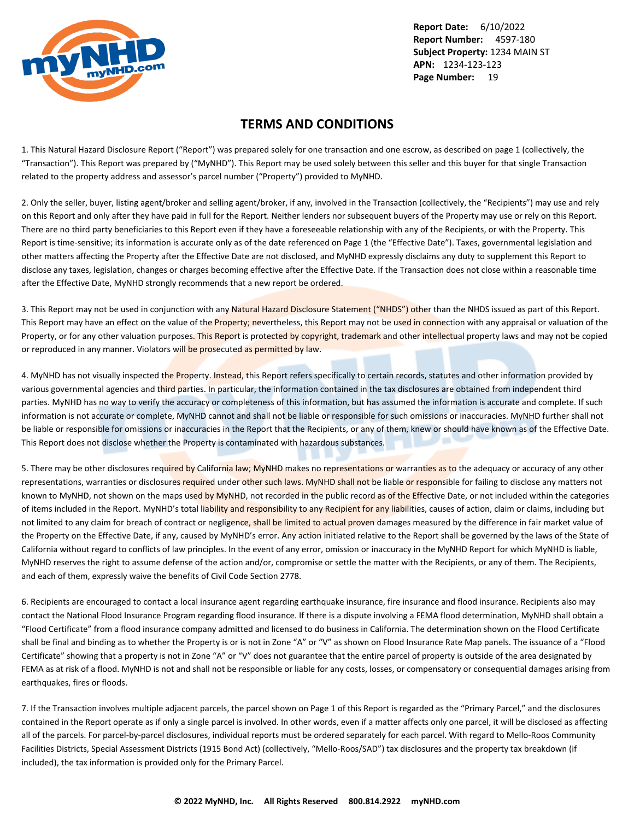<span id="page-20-0"></span>

### **TERMS AND CONDITIONS**

1. This Natural Hazard Disclosure Report ("Report") was prepared solely for one transaction and one escrow, as described on page 1 (collectively, the "Transaction"). This Report was prepared by ("MyNHD"). This Report may be used solely between this seller and this buyer for that single Transaction related to the property address and assessor's parcel number ("Property") provided to MyNHD.

2. Only the seller, buyer, listing agent/broker and selling agent/broker, if any, involved in the Transaction (collectively, the "Recipients") may use and rely on this Report and only after they have paid in full for the Report. Neither lenders nor subsequent buyers of the Property may use or rely on this Report. There are no third party beneficiaries to this Report even if they have a foreseeable relationship with any of the Recipients, or with the Property. This Report is time-sensitive; its information is accurate only as of the date referenced on Page 1 (the "Effective Date"). Taxes, governmental legislation and other matters affecting the Property after the Effective Date are not disclosed, and MyNHD expressly disclaims any duty to supplement this Report to disclose any taxes, legislation, changes or charges becoming effective after the Effective Date. If the Transaction does not close within a reasonable time after the Effective Date, MyNHD strongly recommends that a new report be ordered.

3. This Report may not be used in conjunction with any Natural Hazard Disclosure Statement ("NHDS") other than the NHDS issued as part of this Report. This Report may have an effect on the value of the Property; nevertheless, this Report may not be used in connection with any appraisal or valuation of the Property, or for any other valuation purposes. This Report is protected by copyright, trademark and other intellectual property laws and may not be copied or reproduced in any manner. Violators will be prosecuted as permitted by law.

4. MyNHD has not visually inspected the Property. Instead, this Report refers specifically to certain records, statutes and other information provided by various governmental agencies and third parties. In particular, the information contained in the tax disclosures are obtained from independent third parties. MyNHD has no way to verify the accuracy or completeness of this information, but has assumed the information is accurate and complete. If such information is not accurate or complete, MyNHD cannot and shall not be liable or responsible for such omissions or inaccuracies. MyNHD further shall not be liable or responsible for omissions or inaccuracies in the Report that the Recipients, or any of them, knew or should have known as of the Effective Date. This Report does not disclose whether the Property is contaminated with hazardous substances.

5. There may be other disclosures required by California law; MyNHD makes no representations or warranties as to the adequacy or accuracy of any other representations, warranties or disclosures required under other such laws. MyNHD shall not be liable or responsible for failing to disclose any matters not known to MyNHD, not shown on the maps used by MyNHD, not recorded in the public record as of the Effective Date, or not included within the categories of items included in the Report. MyNHD's total liability and responsibility to any Recipient for any liabilities, causes of action, claim or claims, including but not limited to any claim for breach of contract or negligence, shall be limited to actual proven damages measured by the difference in fair market value of the Property on the Effective Date, if any, caused by MyNHD's error. Any action initiated relative to the Report shall be governed by the laws of the State of California without regard to conflicts of law principles. In the event of any error, omission or inaccuracy in the MyNHD Report for which MyNHD is liable, MyNHD reserves the right to assume defense of the action and/or, compromise or settle the matter with the Recipients, or any of them. The Recipients, and each of them, expressly waive the benefits of Civil Code Section 2778.

6. Recipients are encouraged to contact a local insurance agent regarding earthquake insurance, fire insurance and flood insurance. Recipients also may contact the National Flood Insurance Program regarding flood insurance. If there is a dispute involving a FEMA flood determination, MyNHD shall obtain a "Flood Certificate" from a flood insurance company admitted and licensed to do business in California. The determination shown on the Flood Certificate shall be final and binding as to whether the Property is or is not in Zone "A" or "V" as shown on Flood Insurance Rate Map panels. The issuance of a "Flood Certificate" showing that a property is not in Zone "A" or "V" does not guarantee that the entire parcel of property is outside of the area designated by FEMA as at risk of a flood. MyNHD is not and shall not be responsible or liable for any costs, losses, or compensatory or consequential damages arising from earthquakes, fires or floods.

7. If the Transaction involves multiple adjacent parcels, the parcel shown on Page 1 of this Report is regarded as the "Primary Parcel," and the disclosures contained in the Report operate as if only a single parcel is involved. In other words, even if a matter affects only one parcel, it will be disclosed as affecting all of the parcels. For parcel-by-parcel disclosures, individual reports must be ordered separately for each parcel. With regard to Mello-Roos Community Facilities Districts, Special Assessment Districts (1915 Bond Act) (collectively, "Mello-Roos/SAD") tax disclosures and the property tax breakdown (if included), the tax information is provided only for the Primary Parcel.